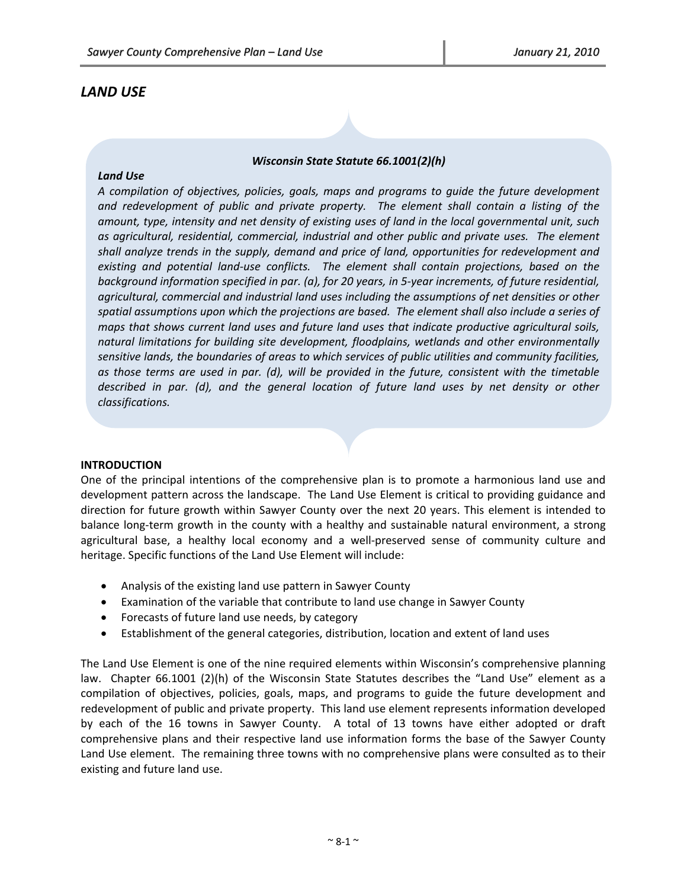# *LAND USE*

# *Wisconsin State Statute 66.1001(2)(h)*

#### *Land Use*

*A compilation of objectives, policies, goals, maps and programs to guide the future development and redevelopment of public and private property. The element shall contain a listing of the amount, type, intensity and net density of existing uses of land in the local governmental unit, such as agricultural, residential, commercial, industrial and other public and private uses. The element shall analyze trends in the supply, demand and price of land, opportunities for redevelopment and existing and potential land‐use conflicts. The element shall contain projections, based on the background information specified in par. (a), for 20 years, in 5‐year increments, of future residential, agricultural, commercial and industrial land uses including the assumptions of net densities or other spatial assumptions upon which the projections are based. The element shall also include a series of maps that shows current land uses and future land uses that indicate productive agricultural soils, natural limitations for building site development, floodplains, wetlands and other environmentally sensitive lands, the boundaries of areas to which services of public utilities and community facilities, as those terms are used in par. (d), will be provided in the future, consistent with the timetable described in par. (d), and the general location of future land uses by net density or other classifications.*

#### **INTRODUCTION**

One of the principal intentions of the comprehensive plan is to promote a harmonious land use and development pattern across the landscape. The Land Use Element is critical to providing guidance and direction for future growth within Sawyer County over the next 20 years. This element is intended to balance long-term growth in the county with a healthy and sustainable natural environment, a strong agricultural base, a healthy local economy and a well-preserved sense of community culture and heritage. Specific functions of the Land Use Element will include:

- Analysis of the existing land use pattern in Sawyer County
- Examination of the variable that contribute to land use change in Sawyer County
- Forecasts of future land use needs, by category
- Establishment of the general categories, distribution, location and extent of land uses

The Land Use Element is one of the nine required elements within Wisconsin's comprehensive planning law. Chapter 66.1001 (2)(h) of the Wisconsin State Statutes describes the "Land Use" element as a compilation of objectives, policies, goals, maps, and programs to guide the future development and redevelopment of public and private property. This land use element represents information developed by each of the 16 towns in Sawyer County. A total of 13 towns have either adopted or draft comprehensive plans and their respective land use information forms the base of the Sawyer County Land Use element. The remaining three towns with no comprehensive plans were consulted as to their existing and future land use.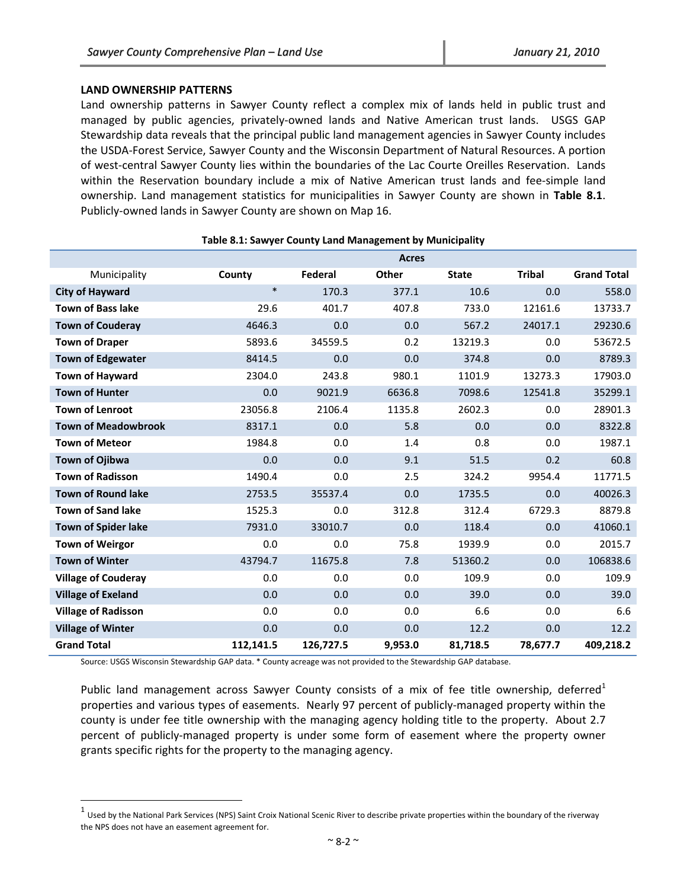#### **LAND OWNERSHIP PATTERNS**

Land ownership patterns in Sawyer County reflect a complex mix of lands held in public trust and managed by public agencies, privately‐owned lands and Native American trust lands. USGS GAP Stewardship data reveals that the principal public land management agencies in Sawyer County includes the USDA‐Forest Service, Sawyer County and the Wisconsin Department of Natural Resources. A portion of west-central Sawyer County lies within the boundaries of the Lac Courte Oreilles Reservation. Lands within the Reservation boundary include a mix of Native American trust lands and fee‐simple land ownership. Land management statistics for municipalities in Sawyer County are shown in **Table 8.1**. Publicly‐owned lands in Sawyer County are shown on Map 16.

|                            |           |           | <b>Acres</b> |              |               |                    |
|----------------------------|-----------|-----------|--------------|--------------|---------------|--------------------|
| Municipality               | County    | Federal   | Other        | <b>State</b> | <b>Tribal</b> | <b>Grand Total</b> |
| <b>City of Hayward</b>     | $\ast$    | 170.3     | 377.1        | 10.6         | 0.0           | 558.0              |
| <b>Town of Bass lake</b>   | 29.6      | 401.7     | 407.8        | 733.0        | 12161.6       | 13733.7            |
| <b>Town of Couderay</b>    | 4646.3    | 0.0       | 0.0          | 567.2        | 24017.1       | 29230.6            |
| <b>Town of Draper</b>      | 5893.6    | 34559.5   | 0.2          | 13219.3      | 0.0           | 53672.5            |
| <b>Town of Edgewater</b>   | 8414.5    | 0.0       | 0.0          | 374.8        | 0.0           | 8789.3             |
| <b>Town of Hayward</b>     | 2304.0    | 243.8     | 980.1        | 1101.9       | 13273.3       | 17903.0            |
| <b>Town of Hunter</b>      | 0.0       | 9021.9    | 6636.8       | 7098.6       | 12541.8       | 35299.1            |
| <b>Town of Lenroot</b>     | 23056.8   | 2106.4    | 1135.8       | 2602.3       | 0.0           | 28901.3            |
| <b>Town of Meadowbrook</b> | 8317.1    | 0.0       | 5.8          | 0.0          | 0.0           | 8322.8             |
| <b>Town of Meteor</b>      | 1984.8    | 0.0       | 1.4          | 0.8          | 0.0           | 1987.1             |
| <b>Town of Ojibwa</b>      | 0.0       | 0.0       | 9.1          | 51.5         | 0.2           | 60.8               |
| <b>Town of Radisson</b>    | 1490.4    | 0.0       | 2.5          | 324.2        | 9954.4        | 11771.5            |
| <b>Town of Round lake</b>  | 2753.5    | 35537.4   | 0.0          | 1735.5       | 0.0           | 40026.3            |
| <b>Town of Sand lake</b>   | 1525.3    | 0.0       | 312.8        | 312.4        | 6729.3        | 8879.8             |
| <b>Town of Spider lake</b> | 7931.0    | 33010.7   | 0.0          | 118.4        | 0.0           | 41060.1            |
| <b>Town of Weirgor</b>     | 0.0       | 0.0       | 75.8         | 1939.9       | 0.0           | 2015.7             |
| <b>Town of Winter</b>      | 43794.7   | 11675.8   | 7.8          | 51360.2      | 0.0           | 106838.6           |
| <b>Village of Couderay</b> | 0.0       | 0.0       | 0.0          | 109.9        | 0.0           | 109.9              |
| <b>Village of Exeland</b>  | 0.0       | 0.0       | 0.0          | 39.0         | 0.0           | 39.0               |
| <b>Village of Radisson</b> | 0.0       | 0.0       | 0.0          | 6.6          | 0.0           | 6.6                |
| <b>Village of Winter</b>   | 0.0       | 0.0       | 0.0          | 12.2         | 0.0           | 12.2               |
| <b>Grand Total</b>         | 112,141.5 | 126,727.5 | 9,953.0      | 81,718.5     | 78,677.7      | 409,218.2          |

#### **Table 8.1: Sawyer County Land Management by Municipality**

Source: USGS Wisconsin Stewardship GAP data. \* County acreage was not provided to the Stewardship GAP database.

Public land management across Sawyer County consists of a mix of fee title ownership, deferred<sup>1</sup> properties and various types of easements. Nearly 97 percent of publicly-managed property within the county is under fee title ownership with the managing agency holding title to the property. About 2.7 percent of publicly‐managed property is under some form of easement where the property owner grants specific rights for the property to the managing agency.

 $1$  Used by the National Park Services (NPS) Saint Croix National Scenic River to describe private properties within the boundary of the riverway the NPS does not have an easement agreement for.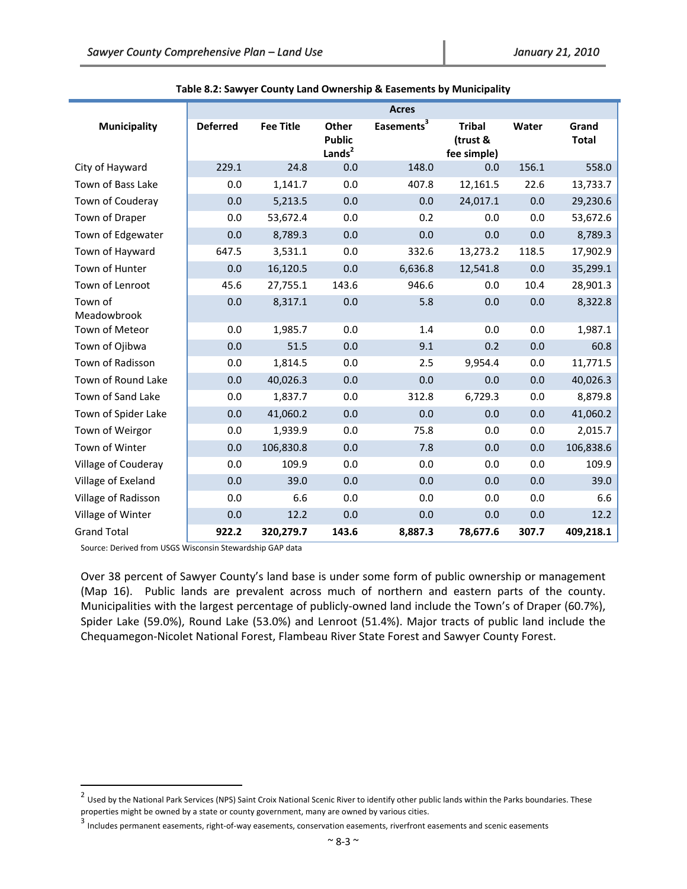|                        |                 |                  |                                              | <b>Acres</b>           |                                          |       |                       |
|------------------------|-----------------|------------------|----------------------------------------------|------------------------|------------------------------------------|-------|-----------------------|
| <b>Municipality</b>    | <b>Deferred</b> | <b>Fee Title</b> | Other<br><b>Public</b><br>Lands <sup>2</sup> | Easements <sup>3</sup> | <b>Tribal</b><br>(trust &<br>fee simple) | Water | Grand<br><b>Total</b> |
| City of Hayward        | 229.1           | 24.8             | 0.0                                          | 148.0                  | 0.0                                      | 156.1 | 558.0                 |
| Town of Bass Lake      | 0.0             | 1,141.7          | 0.0                                          | 407.8                  | 12,161.5                                 | 22.6  | 13,733.7              |
| Town of Couderay       | 0.0             | 5,213.5          | 0.0                                          | 0.0                    | 24,017.1                                 | 0.0   | 29,230.6              |
| Town of Draper         | 0.0             | 53,672.4         | 0.0                                          | 0.2                    | 0.0                                      | 0.0   | 53,672.6              |
| Town of Edgewater      | 0.0             | 8,789.3          | 0.0                                          | 0.0                    | 0.0                                      | 0.0   | 8,789.3               |
| Town of Hayward        | 647.5           | 3,531.1          | 0.0                                          | 332.6                  | 13,273.2                                 | 118.5 | 17,902.9              |
| Town of Hunter         | 0.0             | 16,120.5         | 0.0                                          | 6,636.8                | 12,541.8                                 | 0.0   | 35,299.1              |
| Town of Lenroot        | 45.6            | 27,755.1         | 143.6                                        | 946.6                  | 0.0                                      | 10.4  | 28,901.3              |
| Town of<br>Meadowbrook | 0.0             | 8,317.1          | 0.0                                          | 5.8                    | 0.0                                      | 0.0   | 8,322.8               |
| Town of Meteor         | 0.0             | 1,985.7          | 0.0                                          | 1.4                    | 0.0                                      | 0.0   | 1,987.1               |
| Town of Ojibwa         | 0.0             | 51.5             | 0.0                                          | 9.1                    | 0.2                                      | 0.0   | 60.8                  |
| Town of Radisson       | 0.0             | 1,814.5          | 0.0                                          | 2.5                    | 9,954.4                                  | 0.0   | 11,771.5              |
| Town of Round Lake     | 0.0             | 40,026.3         | 0.0                                          | 0.0                    | 0.0                                      | 0.0   | 40,026.3              |
| Town of Sand Lake      | 0.0             | 1,837.7          | 0.0                                          | 312.8                  | 6,729.3                                  | 0.0   | 8,879.8               |
| Town of Spider Lake    | 0.0             | 41,060.2         | 0.0                                          | 0.0                    | 0.0                                      | 0.0   | 41,060.2              |
| Town of Weirgor        | 0.0             | 1,939.9          | 0.0                                          | 75.8                   | 0.0                                      | 0.0   | 2,015.7               |
| Town of Winter         | 0.0             | 106,830.8        | 0.0                                          | 7.8                    | 0.0                                      | 0.0   | 106,838.6             |
| Village of Couderay    | 0.0             | 109.9            | 0.0                                          | 0.0                    | 0.0                                      | 0.0   | 109.9                 |
| Village of Exeland     | 0.0             | 39.0             | 0.0                                          | 0.0                    | 0.0                                      | 0.0   | 39.0                  |
| Village of Radisson    | 0.0             | 6.6              | 0.0                                          | 0.0                    | 0.0                                      | 0.0   | 6.6                   |
| Village of Winter      | 0.0             | 12.2             | 0.0                                          | 0.0                    | 0.0                                      | 0.0   | 12.2                  |
| <b>Grand Total</b>     | 922.2           | 320,279.7        | 143.6                                        | 8,887.3                | 78,677.6                                 | 307.7 | 409,218.1             |

#### **Table 8.2: Sawyer County Land Ownership & Easements by Municipality**

Source: Derived from USGS Wisconsin Stewardship GAP data

Over 38 percent of Sawyer County's land base is under some form of public ownership or management (Map 16). Public lands are prevalent across much of northern and eastern parts of the county. Municipalities with the largest percentage of publicly-owned land include the Town's of Draper (60.7%), Spider Lake (59.0%), Round Lake (53.0%) and Lenroot (51.4%). Major tracts of public land include the Chequamegon‐Nicolet National Forest, Flambeau River State Forest and Sawyer County Forest.

<sup>&</sup>lt;sup>2</sup> Used by the National Park Services (NPS) Saint Croix National Scenic River to identify other public lands within the Parks boundaries. These properties might be owned by a state or county government, many are owned by various cities.

<sup>3&</sup>lt;br><sup>3</sup> Includes permanent easements, right-of-way easements, conservation easements, riverfront easements and scenic easements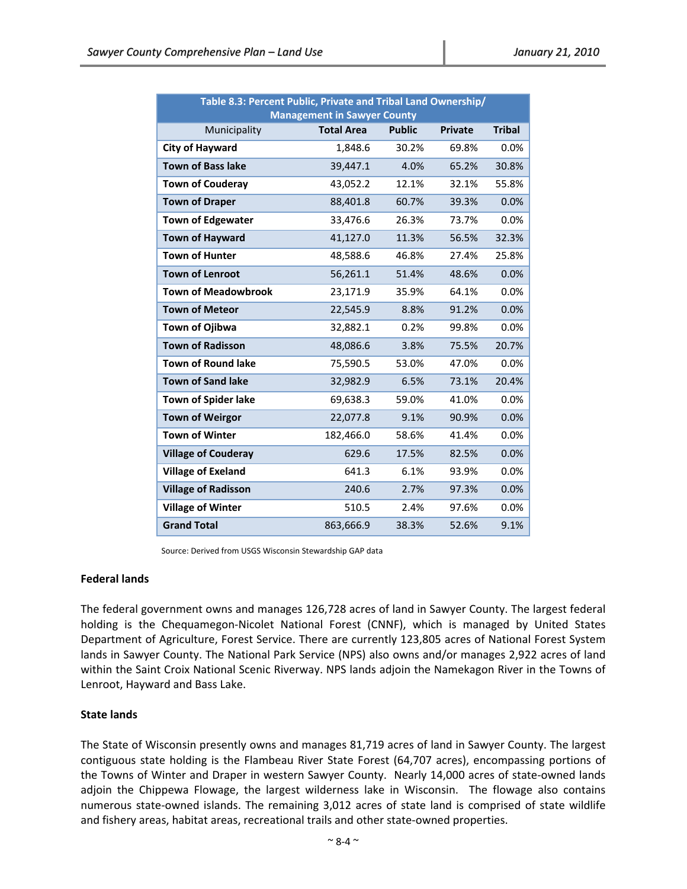| Table 8.3: Percent Public, Private and Tribal Land Ownership/ |                                    |               |                |               |  |  |  |  |  |
|---------------------------------------------------------------|------------------------------------|---------------|----------------|---------------|--|--|--|--|--|
|                                                               | <b>Management in Sawyer County</b> |               |                |               |  |  |  |  |  |
| Municipality                                                  | <b>Total Area</b>                  | <b>Public</b> | <b>Private</b> | <b>Tribal</b> |  |  |  |  |  |
| <b>City of Hayward</b>                                        | 1,848.6                            | 30.2%         | 69.8%          | 0.0%          |  |  |  |  |  |
| <b>Town of Bass lake</b>                                      | 39,447.1                           | 4.0%          | 65.2%          | 30.8%         |  |  |  |  |  |
| <b>Town of Couderay</b>                                       | 43,052.2                           | 12.1%         | 32.1%          | 55.8%         |  |  |  |  |  |
| <b>Town of Draper</b>                                         | 88,401.8                           | 60.7%         | 39.3%          | 0.0%          |  |  |  |  |  |
| <b>Town of Edgewater</b>                                      | 33,476.6                           | 26.3%         | 73.7%          | 0.0%          |  |  |  |  |  |
| <b>Town of Hayward</b>                                        | 41,127.0                           | 11.3%         | 56.5%          | 32.3%         |  |  |  |  |  |
| <b>Town of Hunter</b>                                         | 48,588.6                           | 46.8%         | 27.4%          | 25.8%         |  |  |  |  |  |
| <b>Town of Lenroot</b>                                        | 56,261.1                           | 51.4%         | 48.6%          | 0.0%          |  |  |  |  |  |
| <b>Town of Meadowbrook</b>                                    | 23,171.9                           | 35.9%         | 64.1%          | 0.0%          |  |  |  |  |  |
| <b>Town of Meteor</b>                                         | 22,545.9                           | 8.8%          | 91.2%          | 0.0%          |  |  |  |  |  |
| Town of Ojibwa                                                | 32,882.1                           | 0.2%          | 99.8%          | 0.0%          |  |  |  |  |  |
| <b>Town of Radisson</b>                                       | 48,086.6                           | 3.8%          | 75.5%          | 20.7%         |  |  |  |  |  |
| <b>Town of Round lake</b>                                     | 75,590.5                           | 53.0%         | 47.0%          | 0.0%          |  |  |  |  |  |
| <b>Town of Sand lake</b>                                      | 32,982.9                           | 6.5%          | 73.1%          | 20.4%         |  |  |  |  |  |
| Town of Spider lake                                           | 69,638.3                           | 59.0%         | 41.0%          | 0.0%          |  |  |  |  |  |
| <b>Town of Weirgor</b>                                        | 22,077.8                           | 9.1%          | 90.9%          | 0.0%          |  |  |  |  |  |
| <b>Town of Winter</b>                                         | 182,466.0                          | 58.6%         | 41.4%          | 0.0%          |  |  |  |  |  |
| <b>Village of Couderay</b>                                    | 629.6                              | 17.5%         | 82.5%          | 0.0%          |  |  |  |  |  |
| <b>Village of Exeland</b>                                     | 641.3                              | 6.1%          | 93.9%          | 0.0%          |  |  |  |  |  |
| <b>Village of Radisson</b>                                    | 240.6                              | 2.7%          | 97.3%          | 0.0%          |  |  |  |  |  |
| <b>Village of Winter</b>                                      | 510.5                              | 2.4%          | 97.6%          | 0.0%          |  |  |  |  |  |
| <b>Grand Total</b>                                            | 863,666.9                          | 38.3%         | 52.6%          | 9.1%          |  |  |  |  |  |

Source: Derived from USGS Wisconsin Stewardship GAP data

#### **Federal lands**

The federal government owns and manages 126,728 acres of land in Sawyer County. The largest federal holding is the Chequamegon‐Nicolet National Forest (CNNF), which is managed by United States Department of Agriculture, Forest Service. There are currently 123,805 acres of National Forest System lands in Sawyer County. The National Park Service (NPS) also owns and/or manages 2,922 acres of land within the Saint Croix National Scenic Riverway. NPS lands adjoin the Namekagon River in the Towns of Lenroot, Hayward and Bass Lake.

#### **State lands**

The State of Wisconsin presently owns and manages 81,719 acres of land in Sawyer County. The largest contiguous state holding is the Flambeau River State Forest (64,707 acres), encompassing portions of the Towns of Winter and Draper in western Sawyer County. Nearly 14,000 acres of state-owned lands adjoin the Chippewa Flowage, the largest wilderness lake in Wisconsin. The flowage also contains numerous state-owned islands. The remaining 3,012 acres of state land is comprised of state wildlife and fishery areas, habitat areas, recreational trails and other state‐owned properties.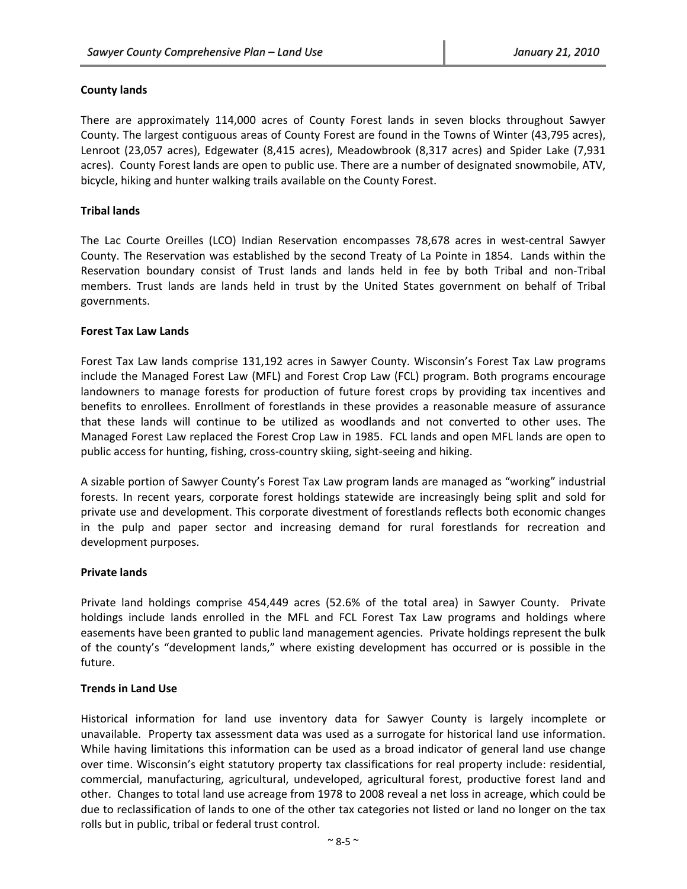# **County lands**

There are approximately 114,000 acres of County Forest lands in seven blocks throughout Sawyer County. The largest contiguous areas of County Forest are found in the Towns of Winter (43,795 acres), Lenroot (23,057 acres), Edgewater (8,415 acres), Meadowbrook (8,317 acres) and Spider Lake (7,931 acres). County Forest lands are open to public use. There are a number of designated snowmobile, ATV, bicycle, hiking and hunter walking trails available on the County Forest.

# **Tribal lands**

The Lac Courte Oreilles (LCO) Indian Reservation encompasses 78,678 acres in west‐central Sawyer County. The Reservation was established by the second Treaty of La Pointe in 1854. Lands within the Reservation boundary consist of Trust lands and lands held in fee by both Tribal and non‐Tribal members. Trust lands are lands held in trust by the United States government on behalf of Tribal governments.

# **Forest Tax Law Lands**

Forest Tax Law lands comprise 131,192 acres in Sawyer County. Wisconsin's Forest Tax Law programs include the Managed Forest Law (MFL) and Forest Crop Law (FCL) program. Both programs encourage landowners to manage forests for production of future forest crops by providing tax incentives and benefits to enrollees. Enrollment of forestlands in these provides a reasonable measure of assurance that these lands will continue to be utilized as woodlands and not converted to other uses. The Managed Forest Law replaced the Forest Crop Law in 1985. FCL lands and open MFL lands are open to public access for hunting, fishing, cross‐country skiing, sight‐seeing and hiking.

A sizable portion of Sawyer County's Forest Tax Law program lands are managed as "working" industrial forests. In recent years, corporate forest holdings statewide are increasingly being split and sold for private use and development. This corporate divestment of forestlands reflects both economic changes in the pulp and paper sector and increasing demand for rural forestlands for recreation and development purposes.

#### **Private lands**

Private land holdings comprise 454,449 acres (52.6% of the total area) in Sawyer County. Private holdings include lands enrolled in the MFL and FCL Forest Tax Law programs and holdings where easements have been granted to public land management agencies. Private holdings represent the bulk of the county's "development lands," where existing development has occurred or is possible in the future.

# **Trends in Land Use**

Historical information for land use inventory data for Sawyer County is largely incomplete or unavailable. Property tax assessment data was used as a surrogate for historical land use information. While having limitations this information can be used as a broad indicator of general land use change over time. Wisconsin's eight statutory property tax classifications for real property include: residential, commercial, manufacturing, agricultural, undeveloped, agricultural forest, productive forest land and other. Changes to total land use acreage from 1978 to 2008 reveal a net loss in acreage, which could be due to reclassification of lands to one of the other tax categories not listed or land no longer on the tax rolls but in public, tribal or federal trust control.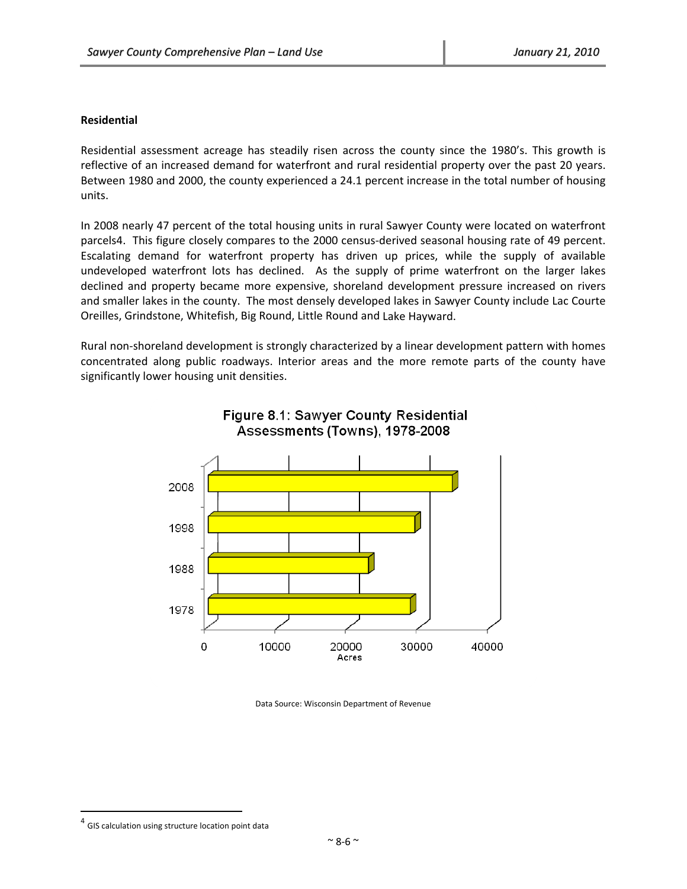#### **Residential**

Residential assessment acreage has steadily risen across the county since the 1980's. This growth is reflective of an increased demand for waterfront and rural residential property over the past 20 years. Between 1980 and 2000, the county experienced a 24.1 percent increase in the total number of housing units.

In 2008 nearly 47 percent of the total housing units in rural Sawyer County were located on waterfront parcels4. This figure closely compares to the 2000 census-derived seasonal housing rate of 49 percent. Escalating demand for waterfront property has driven up prices, while the supply of available undeveloped waterfront lots has declined. As the supply of prime waterfront on the larger lakes declined and property became more expensive, shoreland development pressure increased on rivers and smaller lakes in the county. The most densely developed lakes in Sawyer County include Lac Courte Oreilles, Grindstone, Whitefish, Big Round, Little Round and Lake Hayward.

Rural non‐shoreland development is strongly characterized by a linear development pattern with homes concentrated along public roadways. Interior areas and the more remote parts of the county have significantly lower housing unit densities.





Data Source: Wisconsin Department of Revenue

 $^{4}$  GIS calculation using structure location point data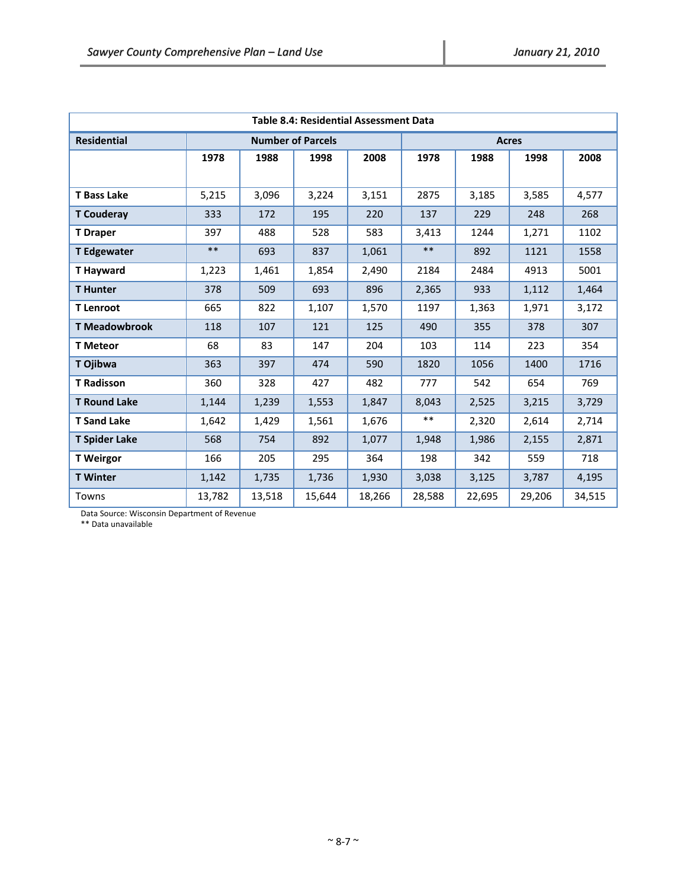| <b>Table 8.4: Residential Assessment Data</b> |        |        |                          |        |        |        |        |        |  |
|-----------------------------------------------|--------|--------|--------------------------|--------|--------|--------|--------|--------|--|
| <b>Residential</b>                            |        |        | <b>Number of Parcels</b> |        | Acres  |        |        |        |  |
|                                               | 1978   | 1988   | 1998                     | 2008   | 1978   | 1988   | 1998   | 2008   |  |
|                                               |        |        |                          |        |        |        |        |        |  |
| <b>T</b> Bass Lake                            | 5,215  | 3,096  | 3,224                    | 3,151  | 2875   | 3,185  | 3,585  | 4,577  |  |
| <b>T</b> Couderay                             | 333    | 172    | 195                      | 220    | 137    | 229    | 248    | 268    |  |
| <b>T</b> Draper                               | 397    | 488    | 528                      | 583    | 3,413  | 1244   | 1,271  | 1102   |  |
| <b>T</b> Edgewater                            | $***$  | 693    | 837                      | 1,061  | $***$  | 892    | 1121   | 1558   |  |
| <b>T</b> Hayward                              | 1,223  | 1,461  | 1,854                    | 2,490  | 2184   | 2484   | 4913   | 5001   |  |
| <b>T</b> Hunter                               | 378    | 509    | 693                      | 896    | 2,365  | 933    | 1,112  | 1,464  |  |
| <b>T</b> Lenroot                              | 665    | 822    | 1,107                    | 1,570  | 1197   | 1,363  | 1,971  | 3,172  |  |
| <b>T Meadowbrook</b>                          | 118    | 107    | 121                      | 125    | 490    | 355    | 378    | 307    |  |
| <b>T</b> Meteor                               | 68     | 83     | 147                      | 204    | 103    | 114    | 223    | 354    |  |
| T Ojibwa                                      | 363    | 397    | 474                      | 590    | 1820   | 1056   | 1400   | 1716   |  |
| <b>T Radisson</b>                             | 360    | 328    | 427                      | 482    | 777    | 542    | 654    | 769    |  |
| <b>T Round Lake</b>                           | 1,144  | 1,239  | 1,553                    | 1,847  | 8,043  | 2,525  | 3,215  | 3,729  |  |
| <b>T</b> Sand Lake                            | 1,642  | 1,429  | 1,561                    | 1,676  | $***$  | 2,320  | 2,614  | 2,714  |  |
| <b>T Spider Lake</b>                          | 568    | 754    | 892                      | 1,077  | 1,948  | 1,986  | 2,155  | 2,871  |  |
| <b>T</b> Weirgor                              | 166    | 205    | 295                      | 364    | 198    | 342    | 559    | 718    |  |
| <b>T</b> Winter                               | 1,142  | 1,735  | 1,736                    | 1,930  | 3,038  | 3,125  | 3,787  | 4,195  |  |
| Towns                                         | 13,782 | 13,518 | 15,644                   | 18,266 | 28,588 | 22,695 | 29,206 | 34,515 |  |

Data Source: Wisconsin Department of Revenue

\*\* Data unavailable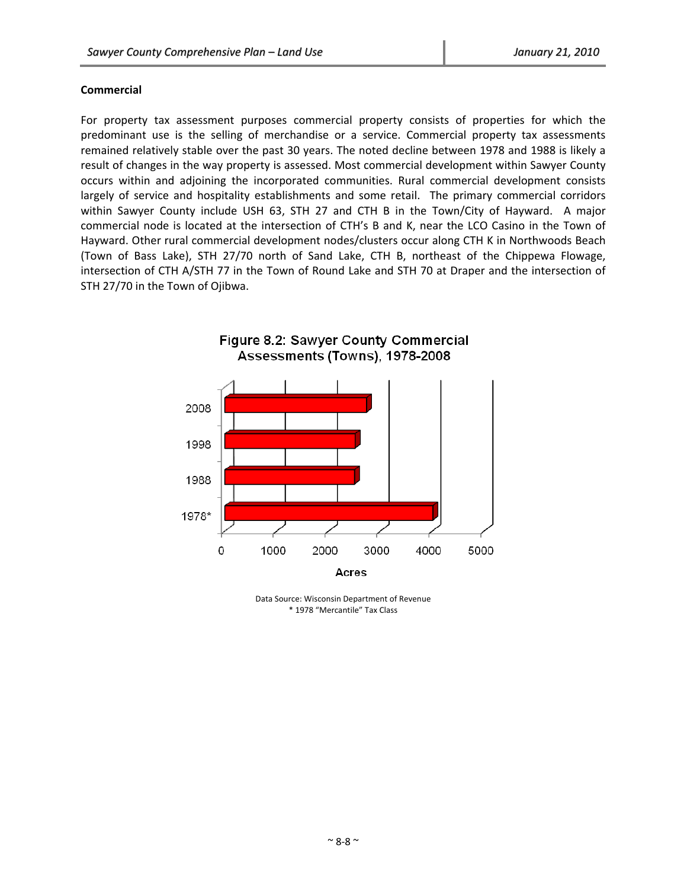#### **Commercial**

For property tax assessment purposes commercial property consists of properties for which the predominant use is the selling of merchandise or a service. Commercial property tax assessments remained relatively stable over the past 30 years. The noted decline between 1978 and 1988 is likely a result of changes in the way property is assessed. Most commercial development within Sawyer County occurs within and adjoining the incorporated communities. Rural commercial development consists largely of service and hospitality establishments and some retail. The primary commercial corridors within Sawyer County include USH 63, STH 27 and CTH B in the Town/City of Hayward. A major commercial node is located at the intersection of CTH's B and K, near the LCO Casino in the Town of Hayward. Other rural commercial development nodes/clusters occur along CTH K in Northwoods Beach (Town of Bass Lake), STH 27/70 north of Sand Lake, CTH B, northeast of the Chippewa Flowage, intersection of CTH A/STH 77 in the Town of Round Lake and STH 70 at Draper and the intersection of STH 27/70 in the Town of Ojibwa.



Data Source: Wisconsin Department of Revenue \* 1978 "Mercantile" Tax Class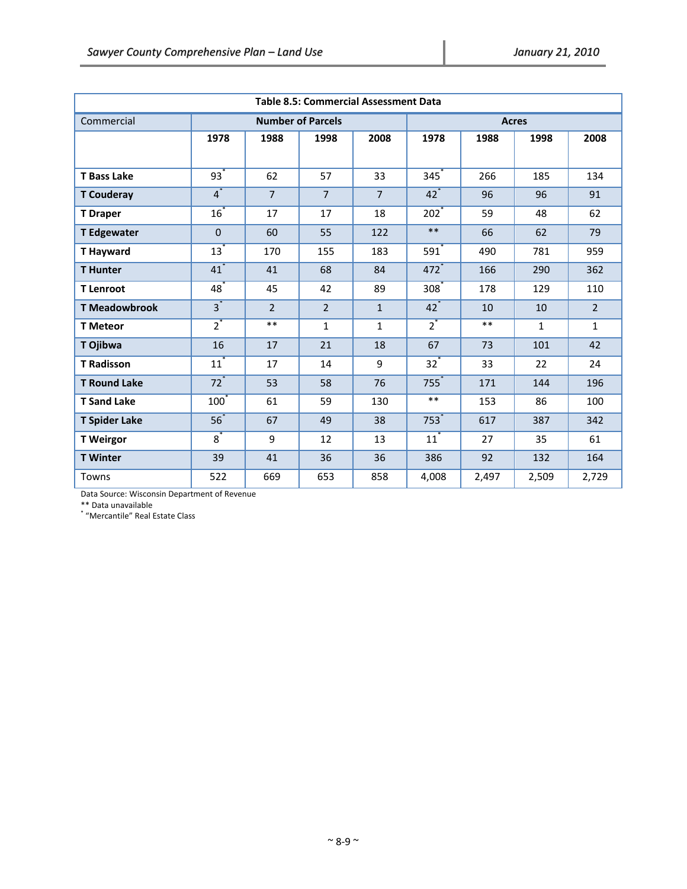| <b>Table 8.5: Commercial Assessment Data</b> |                   |                |                          |                |                    |       |              |              |
|----------------------------------------------|-------------------|----------------|--------------------------|----------------|--------------------|-------|--------------|--------------|
| Commercial                                   |                   |                | <b>Number of Parcels</b> |                | <b>Acres</b>       |       |              |              |
|                                              | 1978              | 1988           | 1998                     | 2008           | 1978               | 1988  | 1998         | 2008         |
|                                              |                   |                |                          |                |                    |       |              |              |
| <b>T Bass Lake</b>                           | $93^*$            | 62             | 57                       | 33             | 345                | 266   | 185          | 134          |
| <b>T</b> Couderay                            | $\overline{4}^*$  | $\overline{7}$ | $\overline{7}$           | $\overline{7}$ | $42^*$             | 96    | 96           | 91           |
| <b>T</b> Draper                              | $\overline{16}^*$ | 17             | 17                       | 18             | $202^*$            | 59    | 48           | 62           |
| <b>T Edgewater</b>                           | $\Omega$          | 60             | 55                       | 122            | $***$              | 66    | 62           | 79           |
| <b>T</b> Hayward                             | $13^*$            | 170            | 155                      | 183            | $591$ <sup>*</sup> | 490   | 781          | 959          |
| <b>T</b> Hunter                              | $41$ <sup>*</sup> | 41             | 68                       | 84             | $472$ <sup>*</sup> | 166   | 290          | 362          |
| <b>T</b> Lenroot                             | $48$ <sup>*</sup> | 45             | 42                       | 89             | $308^{\degree}$    | 178   | 129          | 110          |
| <b>T Meadowbrook</b>                         | $\overline{3}^*$  | $\overline{2}$ | $\overline{2}$           | $\mathbf{1}$   | $42^*$             | 10    | 10           | $2^{\circ}$  |
| <b>T</b> Meteor                              | $\overline{2}^*$  | $***$          | 1                        | $\mathbf{1}$   | $\overline{2}^*$   | $***$ | $\mathbf{1}$ | $\mathbf{1}$ |
| T Ojibwa                                     | 16                | 17             | 21                       | 18             | 67                 | 73    | 101          | 42           |
| <b>T Radisson</b>                            | $11^*$            | 17             | 14                       | 9              | $32^*$             | 33    | 22           | 24           |
| <b>T</b> Round Lake                          | $72^*$            | 53             | 58                       | 76             | 755                | 171   | 144          | 196          |
| <b>T Sand Lake</b>                           | 100               | 61             | 59                       | 130            | $***$              | 153   | 86           | 100          |
| <b>T Spider Lake</b>                         | $56^*$            | 67             | 49                       | 38             | 753                | 617   | 387          | 342          |
| <b>T</b> Weirgor                             | $\overline{8}^*$  | 9              | 12                       | 13             | $11^*$             | 27    | 35           | 61           |
| <b>T</b> Winter                              | 39                | 41             | 36                       | 36             | 386                | 92    | 132          | 164          |
| Towns                                        | 522               | 669            | 653                      | 858            | 4,008              | 2,497 | 2,509        | 2,729        |

Data Source: Wisconsin Department of Revenue

\*\* Data unavailable \* "Mercantile" Real Estate Class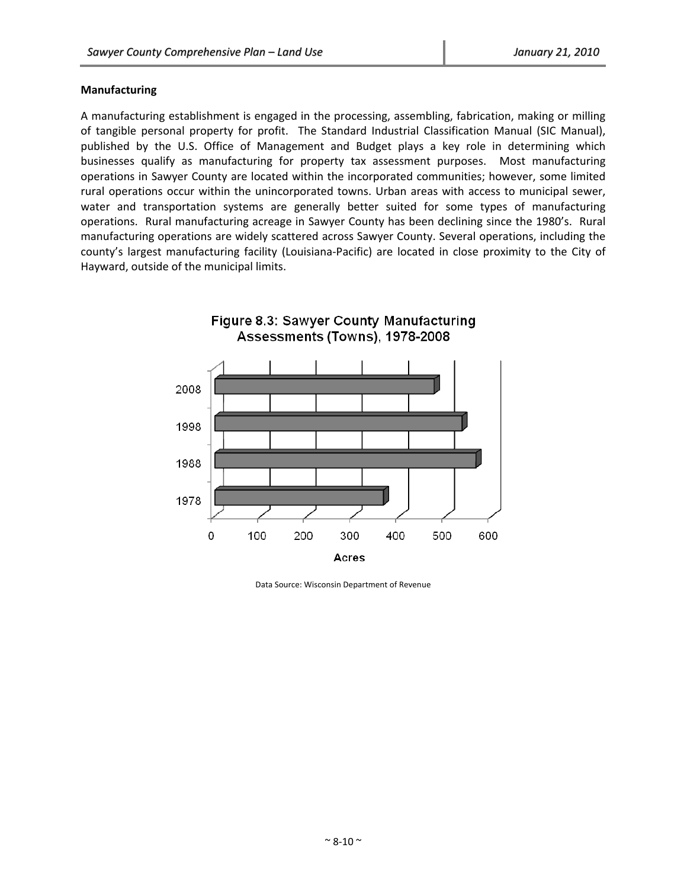#### **Manufacturing**

A manufacturing establishment is engaged in the processing, assembling, fabrication, making or milling of tangible personal property for profit. The Standard Industrial Classification Manual (SIC Manual), published by the U.S. Office of Management and Budget plays a key role in determining which businesses qualify as manufacturing for property tax assessment purposes. Most manufacturing operations in Sawyer County are located within the incorporated communities; however, some limited rural operations occur within the unincorporated towns. Urban areas with access to municipal sewer, water and transportation systems are generally better suited for some types of manufacturing operations. Rural manufacturing acreage in Sawyer County has been declining since the 1980's. Rural manufacturing operations are widely scattered across Sawyer County. Several operations, including the county's largest manufacturing facility (Louisiana‐Pacific) are located in close proximity to the City of Hayward, outside of the municipal limits.



Data Source: Wisconsin Department of Revenue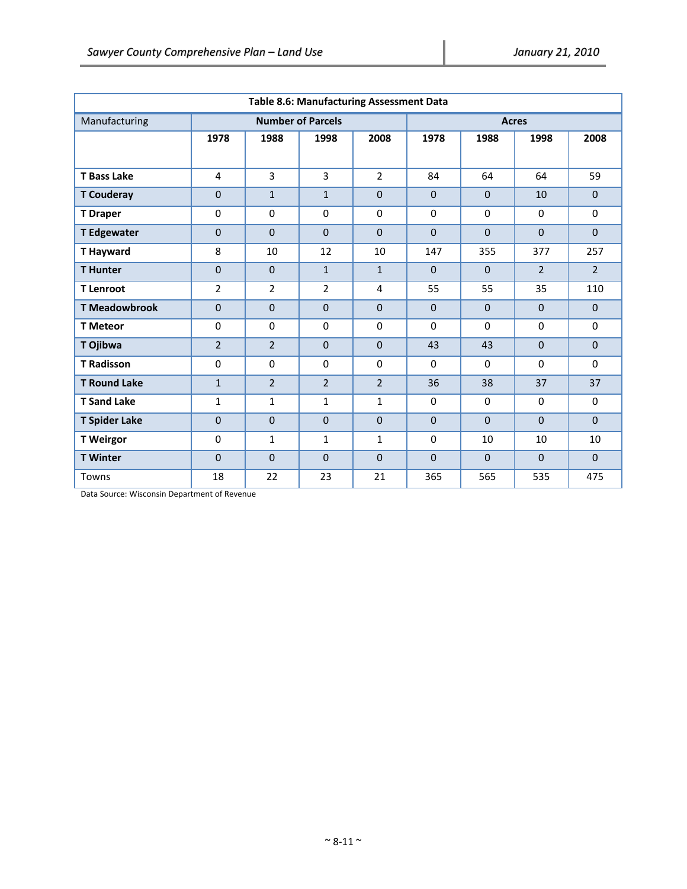| <b>Table 8.6: Manufacturing Assessment Data</b> |                |                      |                          |                |                |              |                |                |
|-------------------------------------------------|----------------|----------------------|--------------------------|----------------|----------------|--------------|----------------|----------------|
| Manufacturing                                   |                |                      | <b>Number of Parcels</b> |                | <b>Acres</b>   |              |                |                |
|                                                 | 1978           | 2008<br>1988<br>1998 |                          | 1978           | 1988           | 1998         | 2008           |                |
|                                                 |                |                      |                          |                |                |              |                |                |
| <b>T Bass Lake</b>                              | $\overline{4}$ | $\overline{3}$       | $\overline{3}$           | $\overline{2}$ | 84             | 64           | 64             | 59             |
| <b>T Couderay</b>                               | $\Omega$       | $\mathbf{1}$         | $\mathbf{1}$             | $\Omega$       | $\Omega$       | $\Omega$     | 10             | $\Omega$       |
| <b>T</b> Draper                                 | $\Omega$       | $\Omega$             | $\mathbf 0$              | $\Omega$       | $\Omega$       | $\Omega$     | $\Omega$       | $\Omega$       |
| <b>T Edgewater</b>                              | $\overline{0}$ | $\Omega$             | $\mathbf 0$              | $\Omega$       | $\Omega$       | $\Omega$     | $\Omega$       | $\Omega$       |
| <b>T Hayward</b>                                | 8              | 10                   | 12                       | 10             | 147            | 355          | 377            | 257            |
| <b>T</b> Hunter                                 | 0              | $\mathbf{0}$         | $\mathbf{1}$             | $\mathbf{1}$   | $\Omega$       | $\mathbf{0}$ | $\overline{2}$ | $\overline{2}$ |
| <b>T</b> Lenroot                                | $\overline{2}$ | $\overline{2}$       | $\overline{2}$           | 4              | 55             | 55           | 35             | 110            |
| <b>T Meadowbrook</b>                            | $\overline{0}$ | $\mathbf 0$          | $\mathbf{0}$             | $\Omega$       | $\Omega$       | $\mathbf{0}$ | $\Omega$       | $\mathbf{0}$   |
| <b>T</b> Meteor                                 | $\Omega$       | $\mathbf 0$          | $\mathbf 0$              | $\Omega$       | $\Omega$       | $\mathbf 0$  | $\Omega$       | 0              |
| T Ojibwa                                        | $\overline{2}$ | $\overline{2}$       | $\mathbf 0$              | $\mathbf{0}$   | 43             | 43           | $\mathbf{0}$   | $\mathbf 0$    |
| <b>T Radisson</b>                               | $\Omega$       | $\Omega$             | $\mathbf 0$              | $\Omega$       | $\Omega$       | $\Omega$     | $\Omega$       | $\Omega$       |
| <b>T Round Lake</b>                             | $\mathbf{1}$   | $\overline{2}$       | $\overline{2}$           | $\overline{2}$ | 36             | 38           | 37             | 37             |
| <b>T</b> Sand Lake                              | $\mathbf{1}$   | $\mathbf{1}$         | 1                        | $\mathbf{1}$   | $\Omega$       | $\Omega$     | $\Omega$       | $\Omega$       |
| <b>T Spider Lake</b>                            | $\Omega$       | $\Omega$             | $\mathbf 0$              | $\Omega$       | $\Omega$       | $\Omega$     | $\Omega$       | $\Omega$       |
| <b>T</b> Weirgor                                | $\Omega$       | $\mathbf{1}$         | $\mathbf{1}$             | $\mathbf{1}$   | $\Omega$       | 10           | 10             | 10             |
| <b>T</b> Winter                                 | $\overline{0}$ | $\Omega$             | $\mathbf 0$              | $\Omega$       | $\overline{0}$ | $\Omega$     | $\Omega$       | $\mathbf{0}$   |
| Towns                                           | 18             | 22                   | 23                       | 21             | 365            | 565          | 535            | 475            |

Data Source: Wisconsin Department of Revenue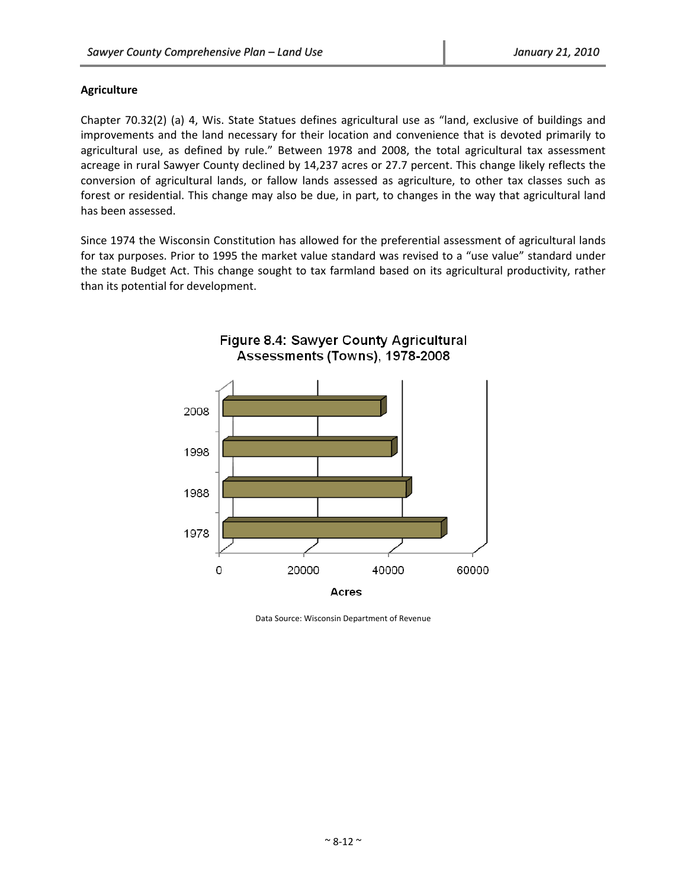# **Agriculture**

Chapter 70.32(2) (a) 4, Wis. State Statues defines agricultural use as "land, exclusive of buildings and improvements and the land necessary for their location and convenience that is devoted primarily to agricultural use, as defined by rule." Between 1978 and 2008, the total agricultural tax assessment acreage in rural Sawyer County declined by 14,237 acres or 27.7 percent. This change likely reflects the conversion of agricultural lands, or fallow lands assessed as agriculture, to other tax classes such as forest or residential. This change may also be due, in part, to changes in the way that agricultural land has been assessed.

Since 1974 the Wisconsin Constitution has allowed for the preferential assessment of agricultural lands for tax purposes. Prior to 1995 the market value standard was revised to a "use value" standard under the state Budget Act. This change sought to tax farmland based on its agricultural productivity, rather than its potential for development.



Data Source: Wisconsin Department of Revenue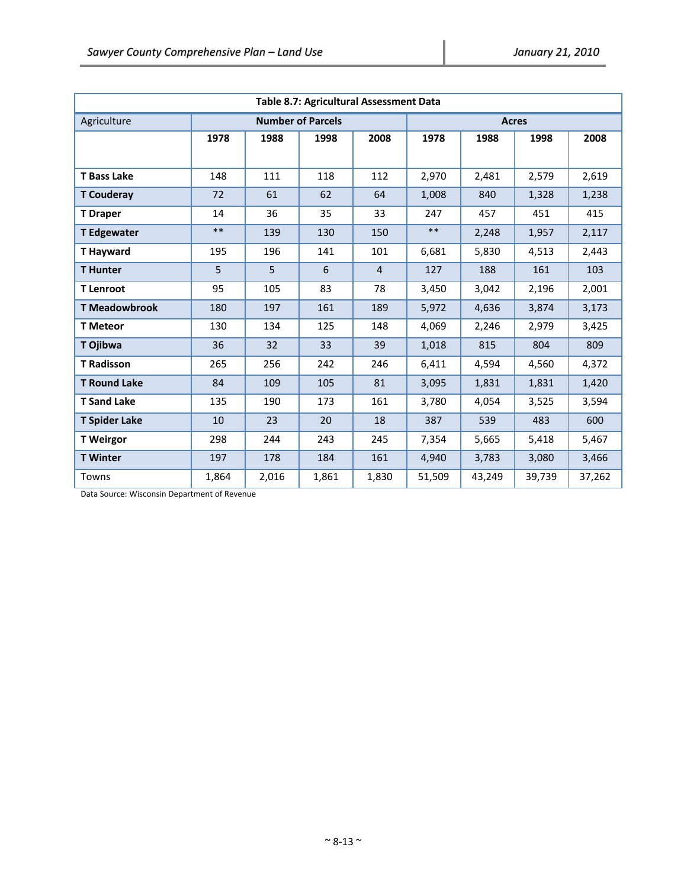| Table 8.7: Agricultural Assessment Data |       |       |                          |                |              |        |        |        |
|-----------------------------------------|-------|-------|--------------------------|----------------|--------------|--------|--------|--------|
| Agriculture                             |       |       | <b>Number of Parcels</b> |                | <b>Acres</b> |        |        |        |
|                                         | 1978  | 1988  | 1998                     | 2008           | 1978         | 1988   | 1998   | 2008   |
|                                         |       |       |                          |                |              |        |        |        |
| <b>T</b> Bass Lake                      | 148   | 111   | 118                      | 112            | 2,970        | 2,481  | 2,579  | 2,619  |
| <b>T</b> Couderay                       | 72    | 61    | 62                       | 64             | 1,008        | 840    | 1,328  | 1,238  |
| <b>T</b> Draper                         | 14    | 36    | 35                       | 33             | 247          | 457    | 451    | 415    |
| <b>T</b> Edgewater                      | $***$ | 139   | 130                      | 150            | $***$        | 2,248  | 1,957  | 2,117  |
| <b>T</b> Hayward                        | 195   | 196   | 141                      | 101            | 6,681        | 5,830  | 4,513  | 2,443  |
| <b>T</b> Hunter                         | 5     | 5     | 6                        | $\overline{4}$ | 127          | 188    | 161    | 103    |
| <b>T</b> Lenroot                        | 95    | 105   | 83                       | 78             | 3,450        | 3,042  | 2,196  | 2,001  |
| <b>T</b> Meadowbrook                    | 180   | 197   | 161                      | 189            | 5,972        | 4,636  | 3,874  | 3,173  |
| <b>T</b> Meteor                         | 130   | 134   | 125                      | 148            | 4,069        | 2,246  | 2,979  | 3,425  |
| T Ojibwa                                | 36    | 32    | 33                       | 39             | 1,018        | 815    | 804    | 809    |
| <b>T</b> Radisson                       | 265   | 256   | 242                      | 246            | 6,411        | 4,594  | 4,560  | 4,372  |
| <b>T Round Lake</b>                     | 84    | 109   | 105                      | 81             | 3,095        | 1,831  | 1,831  | 1,420  |
| <b>T</b> Sand Lake                      | 135   | 190   | 173                      | 161            | 3,780        | 4,054  | 3,525  | 3,594  |
| <b>T Spider Lake</b>                    | 10    | 23    | 20                       | 18             | 387          | 539    | 483    | 600    |
| <b>T</b> Weirgor                        | 298   | 244   | 243                      | 245            | 7,354        | 5,665  | 5,418  | 5,467  |
| <b>T</b> Winter                         | 197   | 178   | 184                      | 161            | 4,940        | 3,783  | 3,080  | 3,466  |
| Towns                                   | 1,864 | 2,016 | 1,861                    | 1,830          | 51,509       | 43,249 | 39,739 | 37,262 |

Data Source: Wisconsin Department of Revenue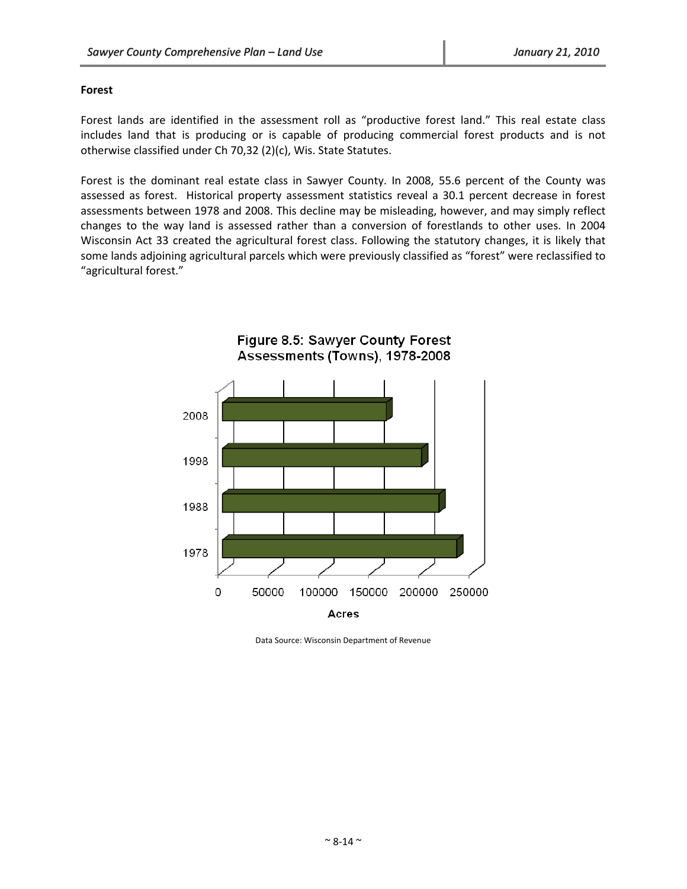#### **Forest**

Forest lands are identified in the assessment roll as "productive forest land." This real estate class includes land that is producing or is capable of producing commercial forest products and is not otherwise classified under Ch 70,32 (2)(c), Wis. State Statutes.

Forest is the dominant real estate class in Sawyer County. In 2008, 55.6 percent of the County was assessed as forest. Historical property assessment statistics reveal a 30.1 percent decrease in forest assessments between 1978 and 2008. This decline may be misleading, however, and may simply reflect changes to the way land is assessed rather than a conversion of forestlands to other uses. In 2004 Wisconsin Act 33 created the agricultural forest class. Following the statutory changes, it is likely that some lands adjoining agricultural parcels which were previously classified as "forest" were reclassified to "agricultural forest."



Data Source: Wisconsin Department of Revenue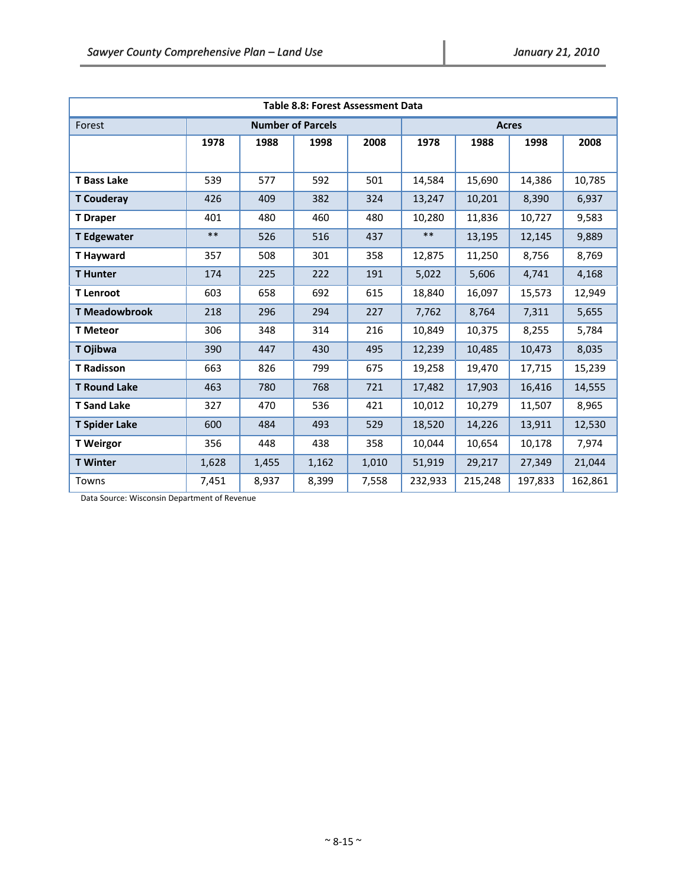| Table 8.8: Forest Assessment Data |       |       |                          |       |              |         |         |         |  |
|-----------------------------------|-------|-------|--------------------------|-------|--------------|---------|---------|---------|--|
| Forest                            |       |       | <b>Number of Parcels</b> |       | <b>Acres</b> |         |         |         |  |
|                                   | 1978  | 1988  | 1998                     | 2008  | 1978         | 1988    | 1998    | 2008    |  |
|                                   |       |       |                          |       |              |         |         |         |  |
| <b>T Bass Lake</b>                | 539   | 577   | 592                      | 501   | 14,584       | 15,690  | 14,386  | 10,785  |  |
| <b>T</b> Couderay                 | 426   | 409   | 382                      | 324   | 13,247       | 10,201  | 8,390   | 6,937   |  |
| <b>T</b> Draper                   | 401   | 480   | 460                      | 480   | 10,280       | 11,836  | 10,727  | 9,583   |  |
| <b>T Edgewater</b>                | $***$ | 526   | 516                      | 437   | $***$        | 13,195  | 12,145  | 9,889   |  |
| <b>T</b> Hayward                  | 357   | 508   | 301                      | 358   | 12,875       | 11,250  | 8,756   | 8,769   |  |
| <b>T</b> Hunter                   | 174   | 225   | 222                      | 191   | 5,022        | 5,606   | 4,741   | 4,168   |  |
| <b>T</b> Lenroot                  | 603   | 658   | 692                      | 615   | 18,840       | 16,097  | 15,573  | 12,949  |  |
| <b>T Meadowbrook</b>              | 218   | 296   | 294                      | 227   | 7,762        | 8,764   | 7,311   | 5,655   |  |
| <b>T</b> Meteor                   | 306   | 348   | 314                      | 216   | 10,849       | 10,375  | 8,255   | 5,784   |  |
| T Ojibwa                          | 390   | 447   | 430                      | 495   | 12,239       | 10,485  | 10,473  | 8,035   |  |
| <b>T Radisson</b>                 | 663   | 826   | 799                      | 675   | 19,258       | 19,470  | 17,715  | 15,239  |  |
| <b>T Round Lake</b>               | 463   | 780   | 768                      | 721   | 17,482       | 17,903  | 16,416  | 14,555  |  |
| <b>T</b> Sand Lake                | 327   | 470   | 536                      | 421   | 10,012       | 10,279  | 11,507  | 8,965   |  |
| <b>T Spider Lake</b>              | 600   | 484   | 493                      | 529   | 18,520       | 14,226  | 13,911  | 12,530  |  |
| <b>T</b> Weirgor                  | 356   | 448   | 438                      | 358   | 10,044       | 10,654  | 10,178  | 7,974   |  |
| <b>T</b> Winter                   | 1,628 | 1,455 | 1,162                    | 1,010 | 51,919       | 29,217  | 27,349  | 21,044  |  |
| Towns                             | 7,451 | 8,937 | 8,399                    | 7,558 | 232,933      | 215,248 | 197,833 | 162,861 |  |

Data Source: Wisconsin Department of Revenue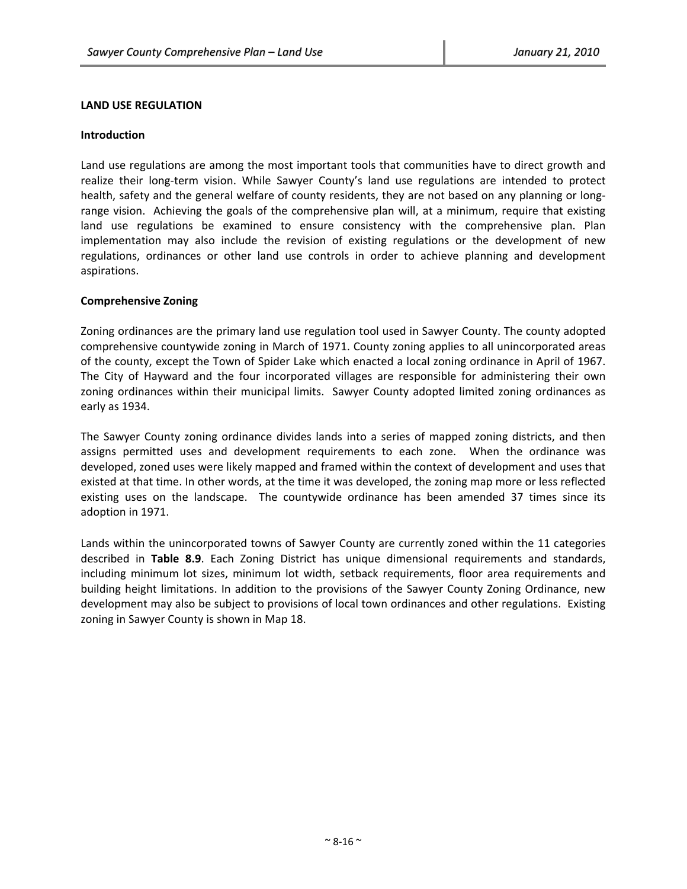#### **LAND USE REGULATION**

#### **Introduction**

Land use regulations are among the most important tools that communities have to direct growth and realize their long‐term vision. While Sawyer County's land use regulations are intended to protect health, safety and the general welfare of county residents, they are not based on any planning or longrange vision. Achieving the goals of the comprehensive plan will, at a minimum, require that existing land use regulations be examined to ensure consistency with the comprehensive plan. Plan implementation may also include the revision of existing regulations or the development of new regulations, ordinances or other land use controls in order to achieve planning and development aspirations.

#### **Comprehensive Zoning**

Zoning ordinances are the primary land use regulation tool used in Sawyer County. The county adopted comprehensive countywide zoning in March of 1971. County zoning applies to all unincorporated areas of the county, except the Town of Spider Lake which enacted a local zoning ordinance in April of 1967. The City of Hayward and the four incorporated villages are responsible for administering their own zoning ordinances within their municipal limits. Sawyer County adopted limited zoning ordinances as early as 1934.

The Sawyer County zoning ordinance divides lands into a series of mapped zoning districts, and then assigns permitted uses and development requirements to each zone. When the ordinance was developed, zoned uses were likely mapped and framed within the context of development and uses that existed at that time. In other words, at the time it was developed, the zoning map more or less reflected existing uses on the landscape. The countywide ordinance has been amended 37 times since its adoption in 1971.

Lands within the unincorporated towns of Sawyer County are currently zoned within the 11 categories described in **Table 8.9**. Each Zoning District has unique dimensional requirements and standards, including minimum lot sizes, minimum lot width, setback requirements, floor area requirements and building height limitations. In addition to the provisions of the Sawyer County Zoning Ordinance, new development may also be subject to provisions of local town ordinances and other regulations. Existing zoning in Sawyer County is shown in Map 18.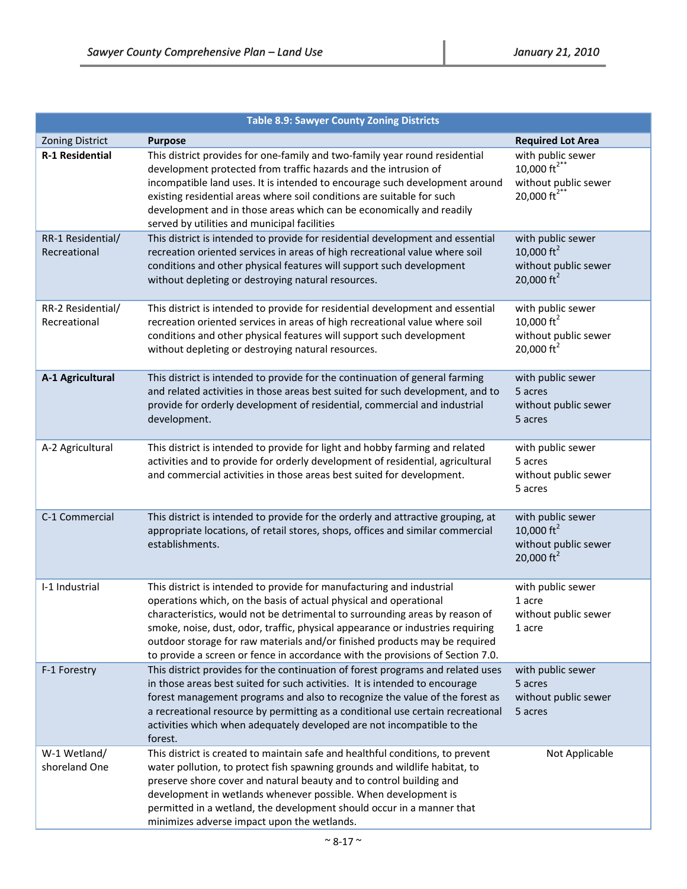|                                   | <b>Table 8.9: Sawyer County Zoning Districts</b>                                                                                                                                                                                                                                                                                                                                                                                                                            |                                                                                                         |
|-----------------------------------|-----------------------------------------------------------------------------------------------------------------------------------------------------------------------------------------------------------------------------------------------------------------------------------------------------------------------------------------------------------------------------------------------------------------------------------------------------------------------------|---------------------------------------------------------------------------------------------------------|
| <b>Zoning District</b>            | <b>Purpose</b>                                                                                                                                                                                                                                                                                                                                                                                                                                                              | <b>Required Lot Area</b>                                                                                |
| <b>R-1 Residential</b>            | This district provides for one-family and two-family year round residential<br>development protected from traffic hazards and the intrusion of<br>incompatible land uses. It is intended to encourage such development around<br>existing residential areas where soil conditions are suitable for such<br>development and in those areas which can be economically and readily<br>served by utilities and municipal facilities                                             | with public sewer<br>10,000 $\text{ft}^{2^{**}}$<br>without public sewer<br>20,000 $\text{ft}^{2^{**}}$ |
| RR-1 Residential/<br>Recreational | This district is intended to provide for residential development and essential<br>recreation oriented services in areas of high recreational value where soil<br>conditions and other physical features will support such development<br>without depleting or destroying natural resources.                                                                                                                                                                                 | with public sewer<br>10,000 $\text{ft}^2$<br>without public sewer<br>20,000 $\text{ft}^2$               |
| RR-2 Residential/<br>Recreational | This district is intended to provide for residential development and essential<br>recreation oriented services in areas of high recreational value where soil<br>conditions and other physical features will support such development<br>without depleting or destroying natural resources.                                                                                                                                                                                 | with public sewer<br>10,000 $ft^2$<br>without public sewer<br>20,000 $\text{ft}^2$                      |
| A-1 Agricultural                  | This district is intended to provide for the continuation of general farming<br>and related activities in those areas best suited for such development, and to<br>provide for orderly development of residential, commercial and industrial<br>development.                                                                                                                                                                                                                 | with public sewer<br>5 acres<br>without public sewer<br>5 acres                                         |
| A-2 Agricultural                  | This district is intended to provide for light and hobby farming and related<br>activities and to provide for orderly development of residential, agricultural<br>and commercial activities in those areas best suited for development.                                                                                                                                                                                                                                     | with public sewer<br>5 acres<br>without public sewer<br>5 acres                                         |
| C-1 Commercial                    | This district is intended to provide for the orderly and attractive grouping, at<br>appropriate locations, of retail stores, shops, offices and similar commercial<br>establishments.                                                                                                                                                                                                                                                                                       | with public sewer<br>10,000 $\text{ft}^2$<br>without public sewer<br>20,000 ft <sup>2</sup>             |
| I-1 Industrial                    | This district is intended to provide for manufacturing and industrial<br>operations which, on the basis of actual physical and operational<br>characteristics, would not be detrimental to surrounding areas by reason of<br>smoke, noise, dust, odor, traffic, physical appearance or industries requiring<br>outdoor storage for raw materials and/or finished products may be required<br>to provide a screen or fence in accordance with the provisions of Section 7.0. | with public sewer<br>1 acre<br>without public sewer<br>1 acre                                           |
| F-1 Forestry                      | This district provides for the continuation of forest programs and related uses<br>in those areas best suited for such activities. It is intended to encourage<br>forest management programs and also to recognize the value of the forest as<br>a recreational resource by permitting as a conditional use certain recreational<br>activities which when adequately developed are not incompatible to the<br>forest.                                                       | with public sewer<br>5 acres<br>without public sewer<br>5 acres                                         |
| W-1 Wetland/<br>shoreland One     | This district is created to maintain safe and healthful conditions, to prevent<br>water pollution, to protect fish spawning grounds and wildlife habitat, to<br>preserve shore cover and natural beauty and to control building and<br>development in wetlands whenever possible. When development is<br>permitted in a wetland, the development should occur in a manner that<br>minimizes adverse impact upon the wetlands.                                               | Not Applicable                                                                                          |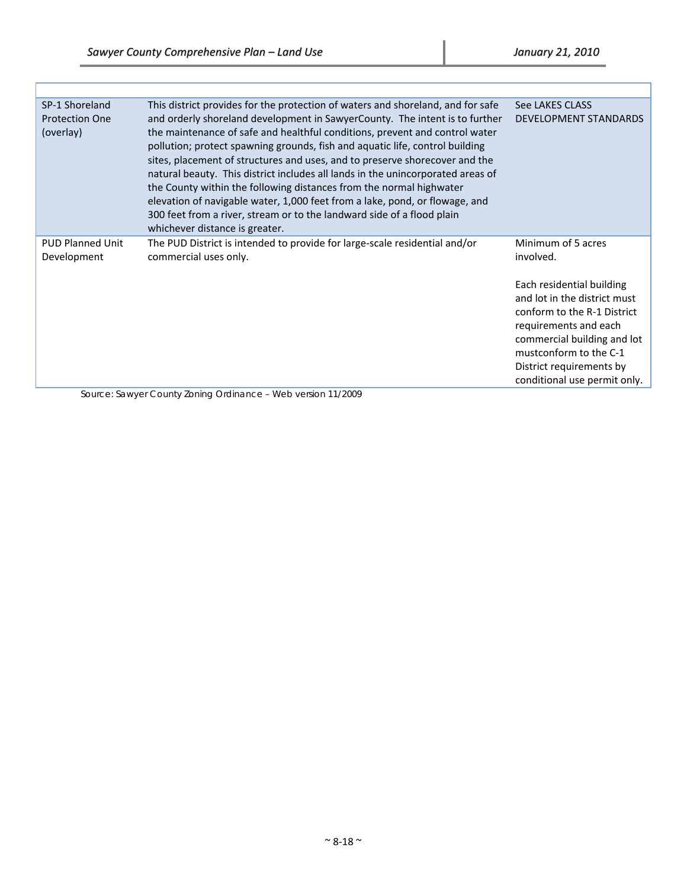ľ

| SP-1 Shoreland<br><b>Protection One</b><br>(overlay) | This district provides for the protection of waters and shoreland, and for safe<br>and orderly shoreland development in SawyerCounty. The intent is to further<br>the maintenance of safe and healthful conditions, prevent and control water<br>pollution; protect spawning grounds, fish and aquatic life, control building<br>sites, placement of structures and uses, and to preserve shorecover and the<br>natural beauty. This district includes all lands in the unincorporated areas of<br>the County within the following distances from the normal highwater<br>elevation of navigable water, 1,000 feet from a lake, pond, or flowage, and<br>300 feet from a river, stream or to the landward side of a flood plain<br>whichever distance is greater. | See LAKES CLASS<br><b>DEVELOPMENT STANDARDS</b>                                                                                                                                                                                                                           |
|------------------------------------------------------|-------------------------------------------------------------------------------------------------------------------------------------------------------------------------------------------------------------------------------------------------------------------------------------------------------------------------------------------------------------------------------------------------------------------------------------------------------------------------------------------------------------------------------------------------------------------------------------------------------------------------------------------------------------------------------------------------------------------------------------------------------------------|---------------------------------------------------------------------------------------------------------------------------------------------------------------------------------------------------------------------------------------------------------------------------|
| <b>PUD Planned Unit</b><br>Development               | The PUD District is intended to provide for large-scale residential and/or<br>commercial uses only.                                                                                                                                                                                                                                                                                                                                                                                                                                                                                                                                                                                                                                                               | Minimum of 5 acres<br>involved.<br>Each residential building<br>and lot in the district must<br>conform to the R-1 District<br>requirements and each<br>commercial building and lot<br>mustconform to the C-1<br>District requirements by<br>conditional use permit only. |

Source: Sawyer County Zoning Ordinance – Web version 11/2009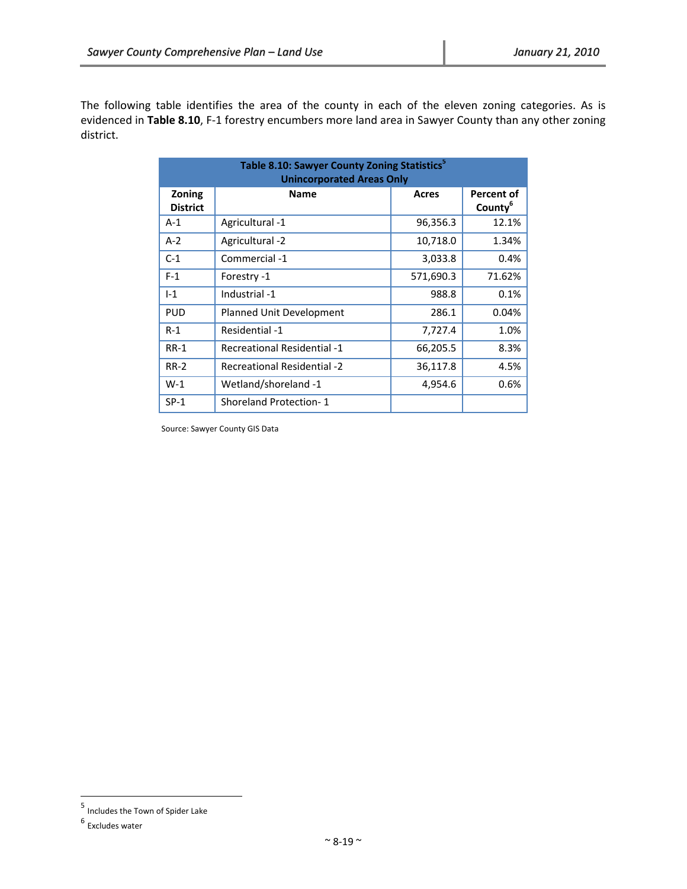The following table identifies the area of the county in each of the eleven zoning categories. As is evidenced in **Table 8.10**, F‐1 forestry encumbers more land area in Sawyer County than any other zoning district.

| Table 8.10: Sawyer County Zoning Statistics <sup>5</sup><br><b>Unincorporated Areas Only</b> |                                    |           |                                          |  |  |  |  |  |  |
|----------------------------------------------------------------------------------------------|------------------------------------|-----------|------------------------------------------|--|--|--|--|--|--|
| Zoning<br><b>District</b>                                                                    | <b>Name</b>                        | Acres     | <b>Percent of</b><br>County <sup>b</sup> |  |  |  |  |  |  |
| $A-1$                                                                                        | Agricultural -1                    | 96,356.3  | 12.1%                                    |  |  |  |  |  |  |
| $A-2$                                                                                        | Agricultural -2                    | 10,718.0  | 1.34%                                    |  |  |  |  |  |  |
| $C-1$                                                                                        | Commercial -1                      | 3,033.8   | 0.4%                                     |  |  |  |  |  |  |
| $F-1$                                                                                        | Forestry -1                        | 571,690.3 | 71.62%                                   |  |  |  |  |  |  |
| $I-1$                                                                                        | Industrial -1                      | 988.8     | 0.1%                                     |  |  |  |  |  |  |
| <b>PUD</b>                                                                                   | Planned Unit Development           | 286.1     | 0.04%                                    |  |  |  |  |  |  |
| $R-1$                                                                                        | Residential -1                     | 7,727.4   | 1.0%                                     |  |  |  |  |  |  |
| $RR-1$                                                                                       | <b>Recreational Residential -1</b> | 66,205.5  | 8.3%                                     |  |  |  |  |  |  |
| <b>RR-2</b>                                                                                  | <b>Recreational Residential -2</b> | 36,117.8  | 4.5%                                     |  |  |  |  |  |  |
| $W-1$                                                                                        | Wetland/shoreland -1               | 4,954.6   | 0.6%                                     |  |  |  |  |  |  |
| $SP-1$                                                                                       | <b>Shoreland Protection-1</b>      |           |                                          |  |  |  |  |  |  |

Source: Sawyer County GIS Data

<sup>5</sup> Includes the Town of Spider Lake

<sup>6</sup> Excludes water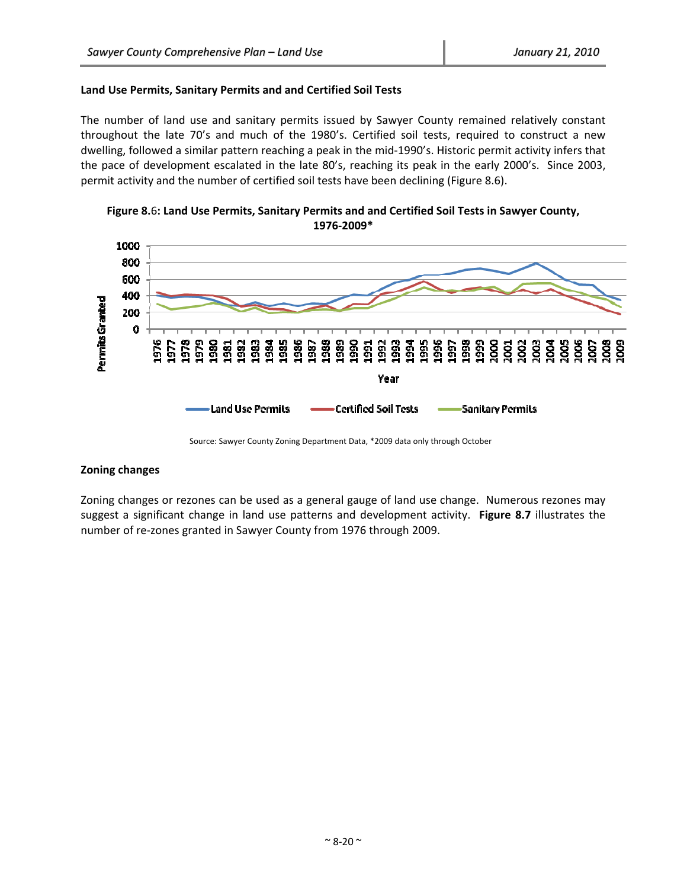#### **Land Use Permits, Sanitary Permits and and Certified Soil Tests**

The number of land use and sanitary permits issued by Sawyer County remained relatively constant throughout the late 70's and much of the 1980's. Certified soil tests, required to construct a new dwelling, followed a similar pattern reaching a peak in the mid‐1990's. Historic permit activity infers that the pace of development escalated in the late 80's, reaching its peak in the early 2000's. Since 2003, permit activity and the number of certified soil tests have been declining (Figure 8.6).

**Figure 8.**6**: Land Use Permits, Sanitary Permits and and Certified Soil Tests in Sawyer County, 1976‐2009\***



Source: Sawyer County Zoning Department Data, \*2009 data only through October

# **Zoning changes**

Zoning changes or rezones can be used as a general gauge of land use change. Numerous rezones may suggest a significant change in land use patterns and development activity. **Figure 8.7** illustrates the number of re‐zones granted in Sawyer County from 1976 through 2009.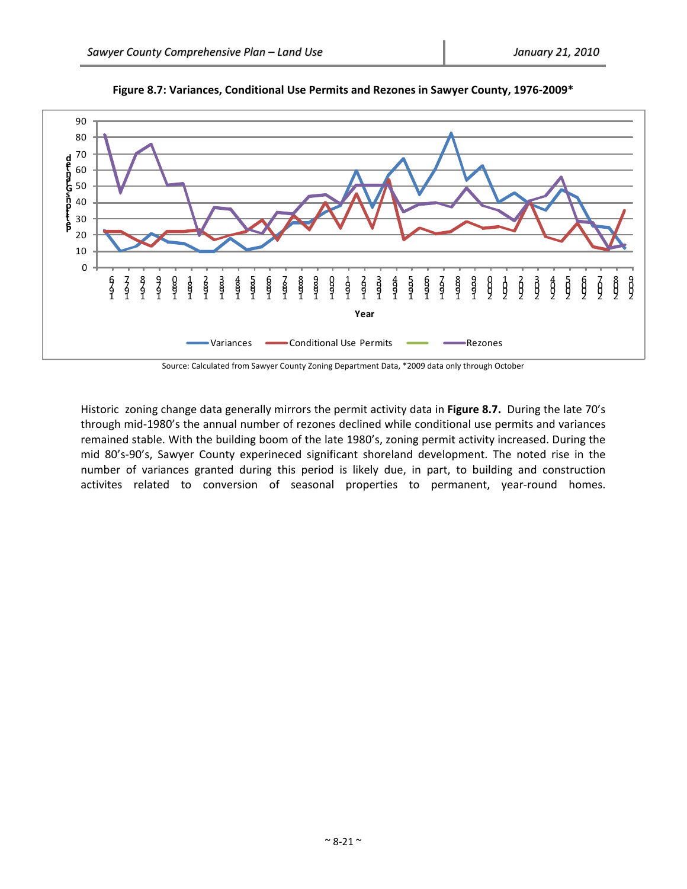

**Figure 8.7: Variances, Conditional Use Permits and Rezones in Sawyer County, 1976‐2009\***

Source: Calculated from Sawyer County Zoning Department Data, \*2009 data only through October

Historic zoning change data generally mirrors the permit activity data in **Figure 8.7.** During the late 70's through mid‐1980's the annual number of rezones declined while conditional use permits and variances remained stable. With the building boom of the late 1980's, zoning permit activity increased. During the mid 80's‐90's, Sawyer County experineced significant shoreland development. The noted rise in the number of variances granted during this period is likely due, in part, to building and construction activites related to conversion of seasonal properties to permanent, year-round homes.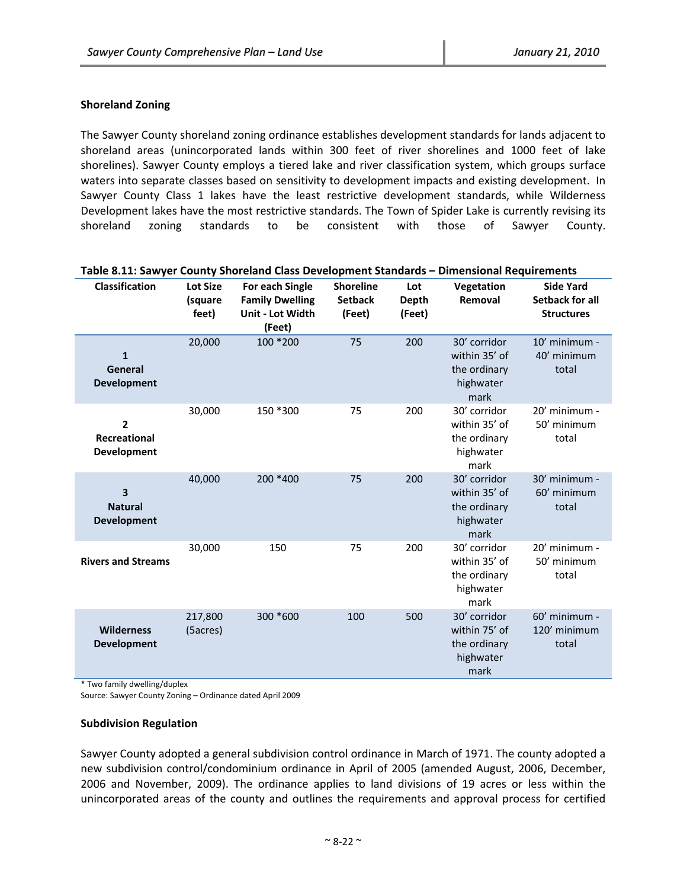# **Shoreland Zoning**

The Sawyer County shoreland zoning ordinance establishes development standards for lands adjacent to shoreland areas (unincorporated lands within 300 feet of river shorelines and 1000 feet of lake shorelines). Sawyer County employs a tiered lake and river classification system, which groups surface waters into separate classes based on sensitivity to development impacts and existing development. In Sawyer County Class 1 lakes have the least restrictive development standards, while Wilderness Development lakes have the most restrictive standards. The Town of Spider Lake is currently revising its shoreland zoning standards to be consistent with those of Sawyer County.

| <b>Classification</b>                                | <b>Lot Size</b>     | For each Single                                      | <b>Shoreline</b>         | Lot                    | Vegetation                                                         | <b>Side Yard</b>                            |
|------------------------------------------------------|---------------------|------------------------------------------------------|--------------------------|------------------------|--------------------------------------------------------------------|---------------------------------------------|
|                                                      | (square<br>feet)    | <b>Family Dwelling</b><br>Unit - Lot Width<br>(Feet) | <b>Setback</b><br>(Feet) | <b>Depth</b><br>(Feet) | Removal                                                            | <b>Setback for all</b><br><b>Structures</b> |
| $\mathbf{1}$<br>General<br><b>Development</b>        | 20,000              | 100 * 200                                            | 75                       | 200                    | 30' corridor<br>within 35' of<br>the ordinary<br>highwater<br>mark | 10' minimum -<br>40' minimum<br>total       |
| $\overline{2}$<br>Recreational<br><b>Development</b> | 30,000              | 150 *300                                             | 75                       | 200                    | 30' corridor<br>within 35' of<br>the ordinary<br>highwater<br>mark | 20' minimum -<br>50' minimum<br>total       |
| 3<br><b>Natural</b><br><b>Development</b>            | 40,000              | 200 *400                                             | 75                       | 200                    | 30' corridor<br>within 35' of<br>the ordinary<br>highwater<br>mark | 30' minimum -<br>60' minimum<br>total       |
| <b>Rivers and Streams</b>                            | 30,000              | 150                                                  | 75                       | 200                    | 30' corridor<br>within 35' of<br>the ordinary<br>highwater<br>mark | 20' minimum -<br>50' minimum<br>total       |
| <b>Wilderness</b><br><b>Development</b>              | 217,800<br>(5acres) | 300 *600                                             | 100                      | 500                    | 30' corridor<br>within 75' of<br>the ordinary<br>highwater<br>mark | $60'$ minimum -<br>120' minimum<br>total    |

### **Table 8.11: Sawyer County Shoreland Class Development Standards – Dimensional Requirements**

\* Two family dwelling/duplex

Source: Sawyer County Zoning – Ordinance dated April 2009

#### **Subdivision Regulation**

Sawyer County adopted a general subdivision control ordinance in March of 1971. The county adopted a new subdivision control/condominium ordinance in April of 2005 (amended August, 2006, December, 2006 and November, 2009). The ordinance applies to land divisions of 19 acres or less within the unincorporated areas of the county and outlines the requirements and approval process for certified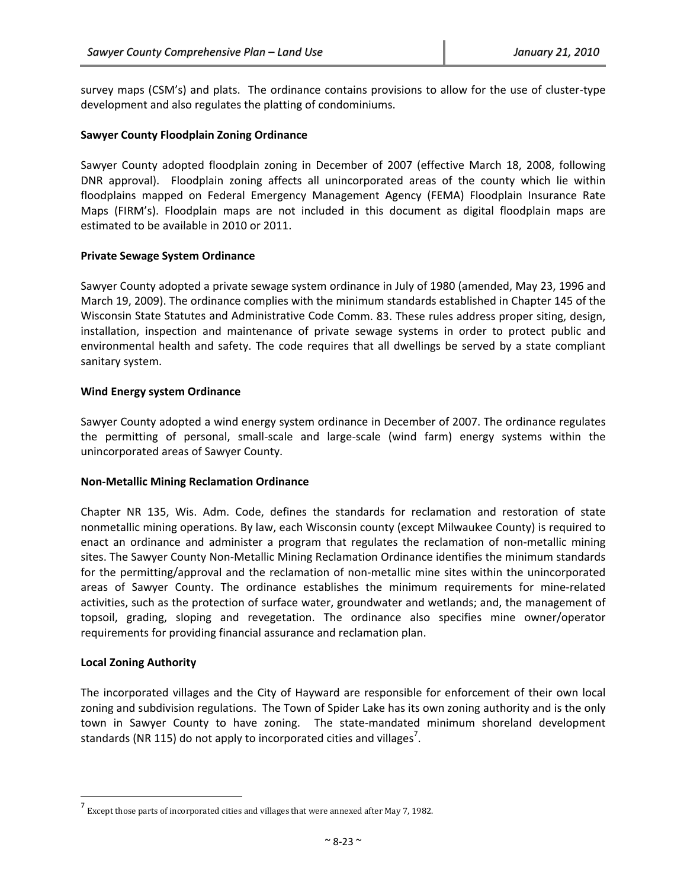survey maps (CSM's) and plats. The ordinance contains provisions to allow for the use of cluster‐type development and also regulates the platting of condominiums.

#### **Sawyer County Floodplain Zoning Ordinance**

Sawyer County adopted floodplain zoning in December of 2007 (effective March 18, 2008, following DNR approval). Floodplain zoning affects all unincorporated areas of the county which lie within floodplains mapped on Federal Emergency Management Agency (FEMA) Floodplain Insurance Rate Maps (FIRM's). Floodplain maps are not included in this document as digital floodplain maps are estimated to be available in 2010 or 2011.

#### **Private Sewage System Ordinance**

Sawyer County adopted a private sewage system ordinance in July of 1980 (amended, May 23, 1996 and March 19, 2009). The ordinance complies with the minimum standards established in Chapter 145 of the Wisconsin State Statutes and Administrative Code Comm. 83. These rules address proper siting, design, installation, inspection and maintenance of private sewage systems in order to protect public and environmental health and safety. The code requires that all dwellings be served by a state compliant sanitary system.

#### **Wind Energy system Ordinance**

Sawyer County adopted a wind energy system ordinance in December of 2007. The ordinance regulates the permitting of personal, small‐scale and large‐scale (wind farm) energy systems within the unincorporated areas of Sawyer County.

#### **Non‐Metallic Mining Reclamation Ordinance**

Chapter NR 135, Wis. Adm. Code, defines the standards for reclamation and restoration of state nonmetallic mining operations. By law, each Wisconsin county (except Milwaukee County) is required to enact an ordinance and administer a program that regulates the reclamation of non-metallic mining sites. The Sawyer County Non-Metallic Mining Reclamation Ordinance identifies the minimum standards for the permitting/approval and the reclamation of non-metallic mine sites within the unincorporated areas of Sawyer County. The ordinance establishes the minimum requirements for mine‐related activities, such as the protection of surface water, groundwater and wetlands; and, the management of topsoil, grading, sloping and revegetation. The ordinance also specifies mine owner/operator requirements for providing financial assurance and reclamation plan.

#### **Local Zoning Authority**

The incorporated villages and the City of Hayward are responsible for enforcement of their own local zoning and subdivision regulations. The Town of Spider Lake has its own zoning authority and is the only town in Sawyer County to have zoning. The state‐mandated minimum shoreland development standards (NR 115) do not apply to incorporated cities and villages<sup>7</sup>.

 $^7$  Except those parts of incorporated cities and villages that were annexed after May 7, 1982.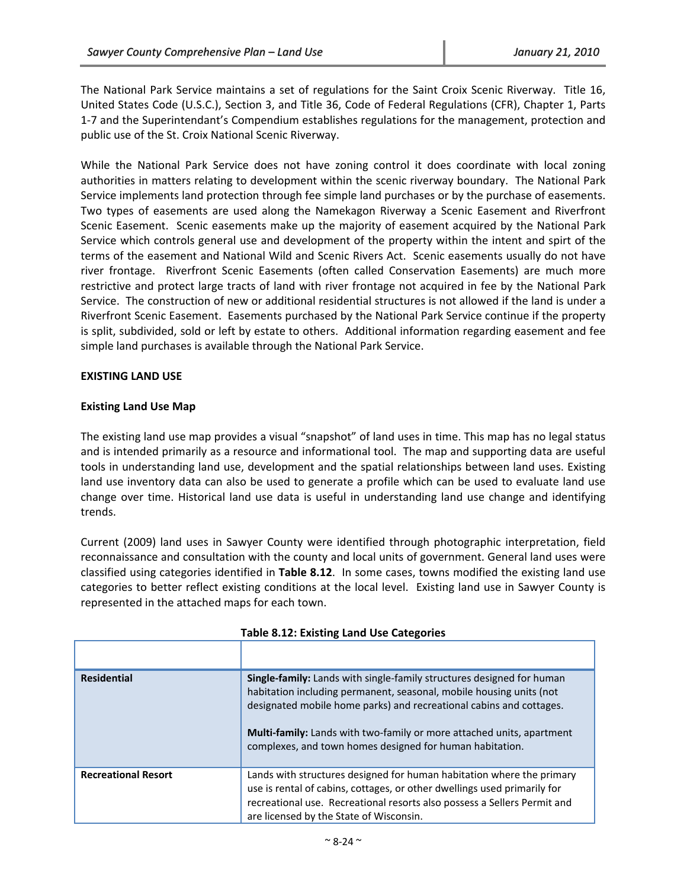The National Park Service maintains a set of regulations for the Saint Croix Scenic Riverway. Title 16, United States Code (U.S.C.), Section 3, and Title 36, Code of Federal Regulations (CFR), Chapter 1, Parts 1‐7 and the Superintendant's Compendium establishes regulations for the management, protection and public use of the St. Croix National Scenic Riverway.

While the National Park Service does not have zoning control it does coordinate with local zoning authorities in matters relating to development within the scenic riverway boundary. The National Park Service implements land protection through fee simple land purchases or by the purchase of easements. Two types of easements are used along the Namekagon Riverway a Scenic Easement and Riverfront Scenic Easement. Scenic easements make up the majority of easement acquired by the National Park Service which controls general use and development of the property within the intent and spirt of the terms of the easement and National Wild and Scenic Rivers Act. Scenic easements usually do not have river frontage. Riverfront Scenic Easements (often called Conservation Easements) are much more restrictive and protect large tracts of land with river frontage not acquired in fee by the National Park Service. The construction of new or additional residential structures is not allowed if the land is under a Riverfront Scenic Easement. Easements purchased by the National Park Service continue if the property is split, subdivided, sold or left by estate to others. Additional information regarding easement and fee simple land purchases is available through the National Park Service.

# **EXISTING LAND USE**

#### **Existing Land Use Map**

The existing land use map provides a visual "snapshot" of land uses in time. This map has no legal status and is intended primarily as a resource and informational tool. The map and supporting data are useful tools in understanding land use, development and the spatial relationships between land uses. Existing land use inventory data can also be used to generate a profile which can be used to evaluate land use change over time. Historical land use data is useful in understanding land use change and identifying trends.

Current (2009) land uses in Sawyer County were identified through photographic interpretation, field reconnaissance and consultation with the county and local units of government. General land uses were classified using categories identified in **Table 8.12**. In some cases, towns modified the existing land use categories to better reflect existing conditions at the local level. Existing land use in Sawyer County is represented in the attached maps for each town.

| <b>Residential</b>         | <b>Single-family:</b> Lands with single-family structures designed for human<br>habitation including permanent, seasonal, mobile housing units (not<br>designated mobile home parks) and recreational cabins and cottages.<br><b>Multi-family:</b> Lands with two-family or more attached units, apartment<br>complexes, and town homes designed for human habitation. |
|----------------------------|------------------------------------------------------------------------------------------------------------------------------------------------------------------------------------------------------------------------------------------------------------------------------------------------------------------------------------------------------------------------|
| <b>Recreational Resort</b> | Lands with structures designed for human habitation where the primary<br>use is rental of cabins, cottages, or other dwellings used primarily for<br>recreational use. Recreational resorts also possess a Sellers Permit and<br>are licensed by the State of Wisconsin.                                                                                               |

| <b>Table 8.12: Existing Land Use Categories</b> |  |  |
|-------------------------------------------------|--|--|
|-------------------------------------------------|--|--|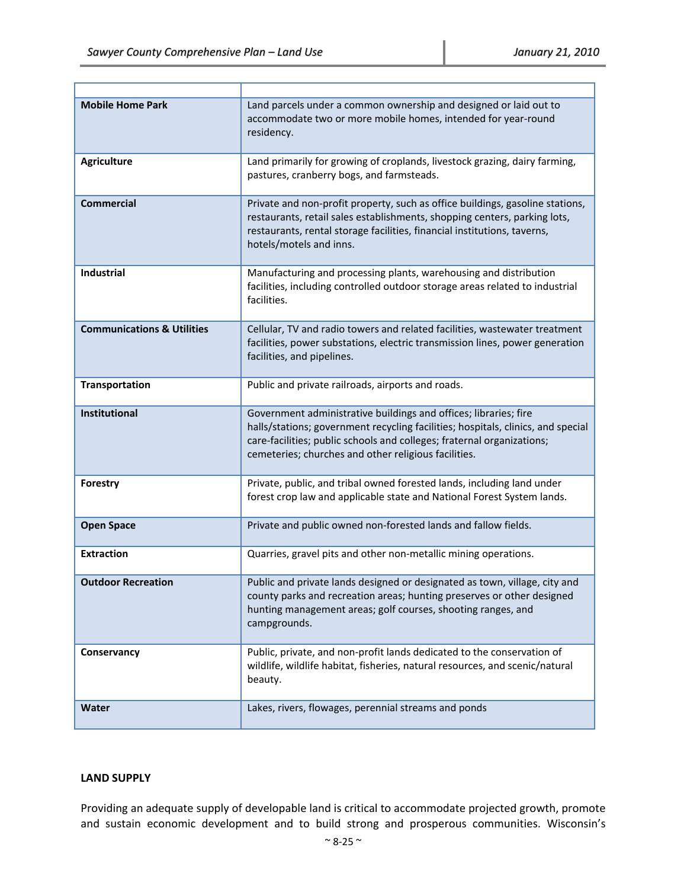Ŧ

Ŧ.

| <b>Mobile Home Park</b>               | Land parcels under a common ownership and designed or laid out to<br>accommodate two or more mobile homes, intended for year-round<br>residency.                                                                                                                                       |
|---------------------------------------|----------------------------------------------------------------------------------------------------------------------------------------------------------------------------------------------------------------------------------------------------------------------------------------|
| <b>Agriculture</b>                    | Land primarily for growing of croplands, livestock grazing, dairy farming,<br>pastures, cranberry bogs, and farmsteads.                                                                                                                                                                |
| <b>Commercial</b>                     | Private and non-profit property, such as office buildings, gasoline stations,<br>restaurants, retail sales establishments, shopping centers, parking lots,<br>restaurants, rental storage facilities, financial institutions, taverns,<br>hotels/motels and inns.                      |
| <b>Industrial</b>                     | Manufacturing and processing plants, warehousing and distribution<br>facilities, including controlled outdoor storage areas related to industrial<br>facilities.                                                                                                                       |
| <b>Communications &amp; Utilities</b> | Cellular, TV and radio towers and related facilities, wastewater treatment<br>facilities, power substations, electric transmission lines, power generation<br>facilities, and pipelines.                                                                                               |
| <b>Transportation</b>                 | Public and private railroads, airports and roads.                                                                                                                                                                                                                                      |
| <b>Institutional</b>                  | Government administrative buildings and offices; libraries; fire<br>halls/stations; government recycling facilities; hospitals, clinics, and special<br>care-facilities; public schools and colleges; fraternal organizations;<br>cemeteries; churches and other religious facilities. |
| <b>Forestry</b>                       | Private, public, and tribal owned forested lands, including land under<br>forest crop law and applicable state and National Forest System lands.                                                                                                                                       |
| <b>Open Space</b>                     | Private and public owned non-forested lands and fallow fields.                                                                                                                                                                                                                         |
| <b>Extraction</b>                     | Quarries, gravel pits and other non-metallic mining operations.                                                                                                                                                                                                                        |
| <b>Outdoor Recreation</b>             | Public and private lands designed or designated as town, village, city and<br>county parks and recreation areas; hunting preserves or other designed                                                                                                                                   |
|                                       | hunting management areas; golf courses, shooting ranges, and<br>campgrounds.                                                                                                                                                                                                           |
| Conservancy                           | Public, private, and non-profit lands dedicated to the conservation of<br>wildlife, wildlife habitat, fisheries, natural resources, and scenic/natural<br>beauty.                                                                                                                      |

# **LAND SUPPLY**

Providing an adequate supply of developable land is critical to accommodate projected growth, promote and sustain economic development and to build strong and prosperous communities. Wisconsin's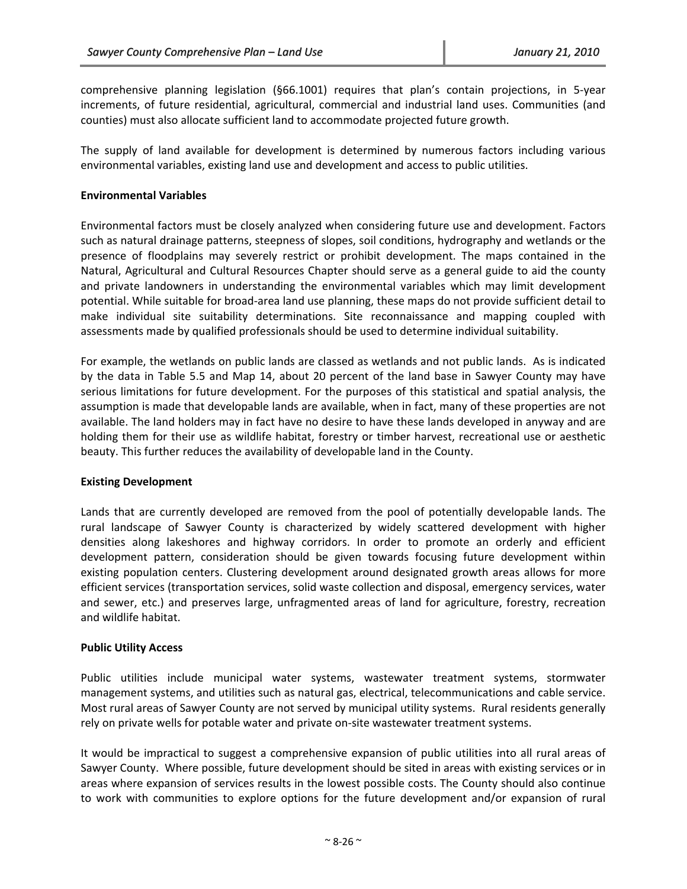comprehensive planning legislation (§66.1001) requires that plan's contain projections, in 5‐year increments, of future residential, agricultural, commercial and industrial land uses. Communities (and counties) must also allocate sufficient land to accommodate projected future growth.

The supply of land available for development is determined by numerous factors including various environmental variables, existing land use and development and access to public utilities.

#### **Environmental Variables**

Environmental factors must be closely analyzed when considering future use and development. Factors such as natural drainage patterns, steepness of slopes, soil conditions, hydrography and wetlands or the presence of floodplains may severely restrict or prohibit development. The maps contained in the Natural, Agricultural and Cultural Resources Chapter should serve as a general guide to aid the county and private landowners in understanding the environmental variables which may limit development potential. While suitable for broad‐area land use planning, these maps do not provide sufficient detail to make individual site suitability determinations. Site reconnaissance and mapping coupled with assessments made by qualified professionals should be used to determine individual suitability.

For example, the wetlands on public lands are classed as wetlands and not public lands. As is indicated by the data in Table 5.5 and Map 14, about 20 percent of the land base in Sawyer County may have serious limitations for future development. For the purposes of this statistical and spatial analysis, the assumption is made that developable lands are available, when in fact, many of these properties are not available. The land holders may in fact have no desire to have these lands developed in anyway and are holding them for their use as wildlife habitat, forestry or timber harvest, recreational use or aesthetic beauty. This further reduces the availability of developable land in the County.

# **Existing Development**

Lands that are currently developed are removed from the pool of potentially developable lands. The rural landscape of Sawyer County is characterized by widely scattered development with higher densities along lakeshores and highway corridors. In order to promote an orderly and efficient development pattern, consideration should be given towards focusing future development within existing population centers. Clustering development around designated growth areas allows for more efficient services (transportation services, solid waste collection and disposal, emergency services, water and sewer, etc.) and preserves large, unfragmented areas of land for agriculture, forestry, recreation and wildlife habitat.

#### **Public Utility Access**

Public utilities include municipal water systems, wastewater treatment systems, stormwater management systems, and utilities such as natural gas, electrical, telecommunications and cable service. Most rural areas of Sawyer County are not served by municipal utility systems. Rural residents generally rely on private wells for potable water and private on‐site wastewater treatment systems.

It would be impractical to suggest a comprehensive expansion of public utilities into all rural areas of Sawyer County. Where possible, future development should be sited in areas with existing services or in areas where expansion of services results in the lowest possible costs. The County should also continue to work with communities to explore options for the future development and/or expansion of rural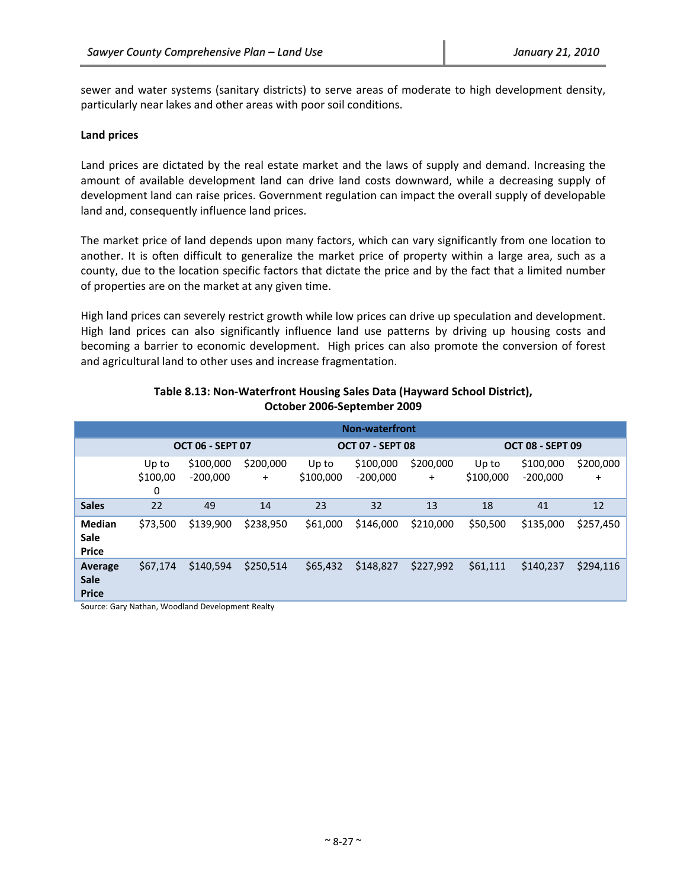sewer and water systems (sanitary districts) to serve areas of moderate to high development density, particularly near lakes and other areas with poor soil conditions.

#### **Land prices**

Land prices are dictated by the real estate market and the laws of supply and demand. Increasing the amount of available development land can drive land costs downward, while a decreasing supply of development land can raise prices. Government regulation can impact the overall supply of developable land and, consequently influence land prices.

The market price of land depends upon many factors, which can vary significantly from one location to another. It is often difficult to generalize the market price of property within a large area, such as a county, due to the location specific factors that dictate the price and by the fact that a limited number of properties are on the market at any given time.

High land prices can severely restrict growth while low prices can drive up speculation and development. High land prices can also significantly influence land use patterns by driving up housing costs and becoming a barrier to economic development. High prices can also promote the conversion of forest and agricultural land to other uses and increase fragmentation.

|               | <b>Non-waterfront</b> |                         |           |                         |            |           |                         |            |           |
|---------------|-----------------------|-------------------------|-----------|-------------------------|------------|-----------|-------------------------|------------|-----------|
|               |                       | <b>OCT 06 - SEPT 07</b> |           | <b>OCT 07 - SEPT 08</b> |            |           | <b>OCT 08 - SEPT 09</b> |            |           |
|               | Up to                 | \$100,000               | \$200,000 | Up to                   | \$100,000  | \$200,000 | Up to                   | \$100,000  | \$200,000 |
|               | \$100,00              | $-200,000$              | $\ddot{}$ | \$100,000               | $-200,000$ | $\ddot{}$ | \$100,000               | $-200,000$ | $\ddot{}$ |
|               | 0                     |                         |           |                         |            |           |                         |            |           |
| <b>Sales</b>  | 22                    | 49                      | 14        | 23                      | 32         | 13        | 18                      | 41         | 12        |
| <b>Median</b> | \$73.500              | \$139,900               | \$238,950 | \$61,000                | \$146,000  | \$210,000 | \$50,500                | \$135,000  | \$257,450 |
| Sale          |                       |                         |           |                         |            |           |                         |            |           |
| <b>Price</b>  |                       |                         |           |                         |            |           |                         |            |           |
| Average       | \$67,174              | \$140.594               | \$250,514 | \$65,432                | \$148,827  | \$227,992 | \$61,111                | \$140,237  | \$294,116 |
| <b>Sale</b>   |                       |                         |           |                         |            |           |                         |            |           |
| <b>Price</b>  |                       |                         |           |                         |            |           |                         |            |           |

# **Table 8.13: Non‐Waterfront Housing Sales Data (Hayward School District), October 2006‐September 2009**

Source: Gary Nathan, Woodland Development Realty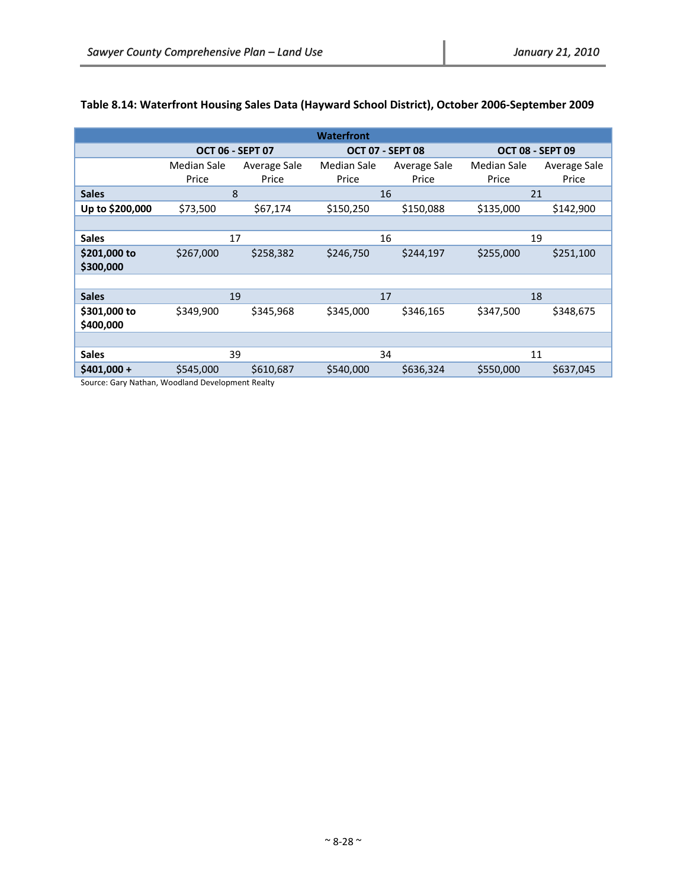| <b>Waterfront</b>         |                      |                         |                      |                         |                      |                         |  |
|---------------------------|----------------------|-------------------------|----------------------|-------------------------|----------------------|-------------------------|--|
|                           |                      | <b>OCT 06 - SEPT 07</b> |                      | <b>OCT 07 - SEPT 08</b> |                      | <b>OCT 08 - SEPT 09</b> |  |
|                           | Median Sale<br>Price | Average Sale<br>Price   | Median Sale<br>Price | Average Sale<br>Price   | Median Sale<br>Price | Average Sale<br>Price   |  |
| <b>Sales</b>              |                      | 8                       |                      | 16                      |                      | 21                      |  |
| Up to \$200,000           | \$73,500             | \$67,174                | \$150,250            | \$150,088               | \$135,000            | \$142,900               |  |
|                           |                      |                         |                      |                         |                      |                         |  |
| <b>Sales</b>              | 17                   |                         |                      | 16                      | 19                   |                         |  |
| \$201,000 to<br>\$300,000 | \$267,000            | \$258,382               | \$246,750            | \$244,197               | \$255,000            | \$251,100               |  |
|                           |                      |                         |                      |                         |                      |                         |  |
| <b>Sales</b>              |                      | 19                      |                      | 17                      |                      | 18                      |  |
| \$301,000 to<br>\$400,000 | \$349,900            | \$345,968               | \$345,000            | \$346,165               | \$347,500            | \$348,675               |  |
|                           |                      |                         |                      |                         |                      |                         |  |
| <b>Sales</b>              |                      | 39                      |                      | 34                      |                      | 11                      |  |
| $$401,000 +$              | \$545,000            | \$610,687               | \$540,000            | \$636,324               | \$550,000            | \$637,045               |  |

# **Table 8.14: Waterfront Housing Sales Data (Hayward School District), October 2006‐September 2009**

Source: Gary Nathan, Woodland Development Realty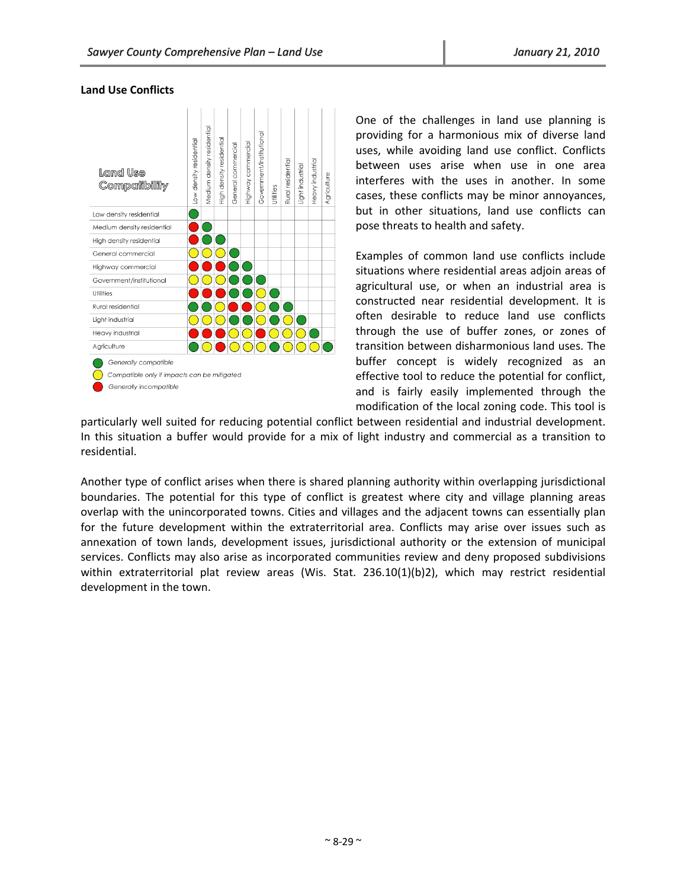#### **Land Use Conflicts**



One of the challenges in land use planning is providing for a harmonious mix of diverse land uses, while avoiding land use conflict. Conflicts between uses arise when use in one area interferes with the uses in another. In some cases, these conflicts may be minor annoyances, but in other situations, land use conflicts can pose threats to health and safety.

Examples of common land use conflicts include situations where residential areas adjoin areas of agricultural use, or when an industrial area is constructed near residential development. It is often desirable to reduce land use conflicts through the use of buffer zones, or zones of transition between disharmonious land uses. The buffer concept is widely recognized as an effective tool to reduce the potential for conflict, and is fairly easily implemented through the modification of the local zoning code. This tool is

particularly well suited for reducing potential conflict between residential and industrial development. In this situation a buffer would provide for a mix of light industry and commercial as a transition to residential.

Another type of conflict arises when there is shared planning authority within overlapping jurisdictional boundaries. The potential for this type of conflict is greatest where city and village planning areas overlap with the unincorporated towns. Cities and villages and the adjacent towns can essentially plan for the future development within the extraterritorial area. Conflicts may arise over issues such as annexation of town lands, development issues, jurisdictional authority or the extension of municipal services. Conflicts may also arise as incorporated communities review and deny proposed subdivisions within extraterritorial plat review areas (Wis. Stat. 236.10(1)(b)2), which may restrict residential development in the town.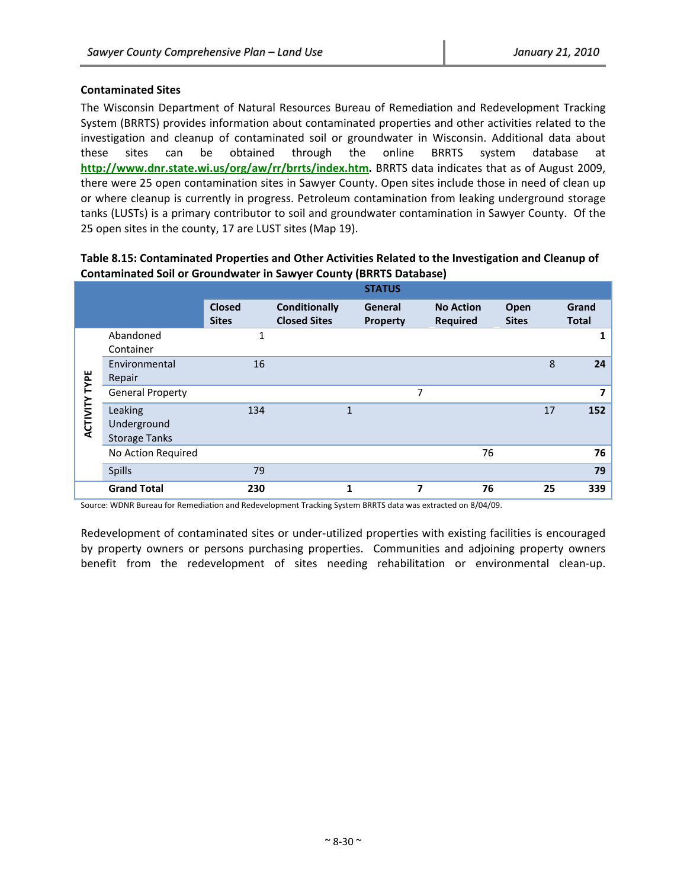# **Contaminated Sites**

The Wisconsin Department of Natural Resources Bureau of Remediation and Redevelopment Tracking System (BRRTS) provides information about contaminated properties and other activities related to the investigation and cleanup of contaminated soil or groundwater in Wisconsin. Additional data about these sites can be obtained through the online BRRTS system database at **http://www.dnr.state.wi.us/org/aw/rr/brrts/index.htm.** BRRTS data indicates that as of August 2009, there were 25 open contamination sites in Sawyer County. Open sites include those in need of clean up or where cleanup is currently in progress. Petroleum contamination from leaking underground storage tanks (LUSTs) is a primary contributor to soil and groundwater contamination in Sawyer County. Of the 25 open sites in the county, 17 are LUST sites (Map 19).

|                 |                                                |                               |                                             | <b>STATUS</b>              |   |                                     |                             |    |                       |
|-----------------|------------------------------------------------|-------------------------------|---------------------------------------------|----------------------------|---|-------------------------------------|-----------------------------|----|-----------------------|
|                 |                                                | <b>Closed</b><br><b>Sites</b> | <b>Conditionally</b><br><b>Closed Sites</b> | General<br><b>Property</b> |   | <b>No Action</b><br><b>Required</b> | <b>Open</b><br><b>Sites</b> |    | Grand<br><b>Total</b> |
|                 | Abandoned<br>Container                         | 1                             |                                             |                            |   |                                     |                             |    | 1                     |
| TYPE            | Environmental<br>Repair                        | 16                            |                                             |                            |   |                                     |                             | 8  | 24                    |
|                 | <b>General Property</b>                        |                               |                                             |                            | 7 |                                     |                             |    | 7                     |
| <b>ACTIVITY</b> | Leaking<br>Underground<br><b>Storage Tanks</b> | 134                           |                                             | $\mathbf{1}$               |   |                                     |                             | 17 | 152                   |
|                 | No Action Required                             |                               |                                             |                            |   | 76                                  |                             |    | 76                    |
|                 | Spills                                         | 79                            |                                             |                            |   |                                     |                             |    | 79                    |
|                 | <b>Grand Total</b>                             | 230                           |                                             | 1                          | 7 | 76                                  |                             | 25 | 339                   |

#### **Table 8.15: Contaminated Properties and Other Activities Related to the Investigation and Cleanup of Contaminated Soil or Groundwater in Sawyer County (BRRTS Database)**

Source: WDNR Bureau for Remediation and Redevelopment Tracking System BRRTS data was extracted on 8/04/09.

Redevelopment of contaminated sites or under‐utilized properties with existing facilities is encouraged by property owners or persons purchasing properties. Communities and adjoining property owners benefit from the redevelopment of sites needing rehabilitation or environmental clean-up.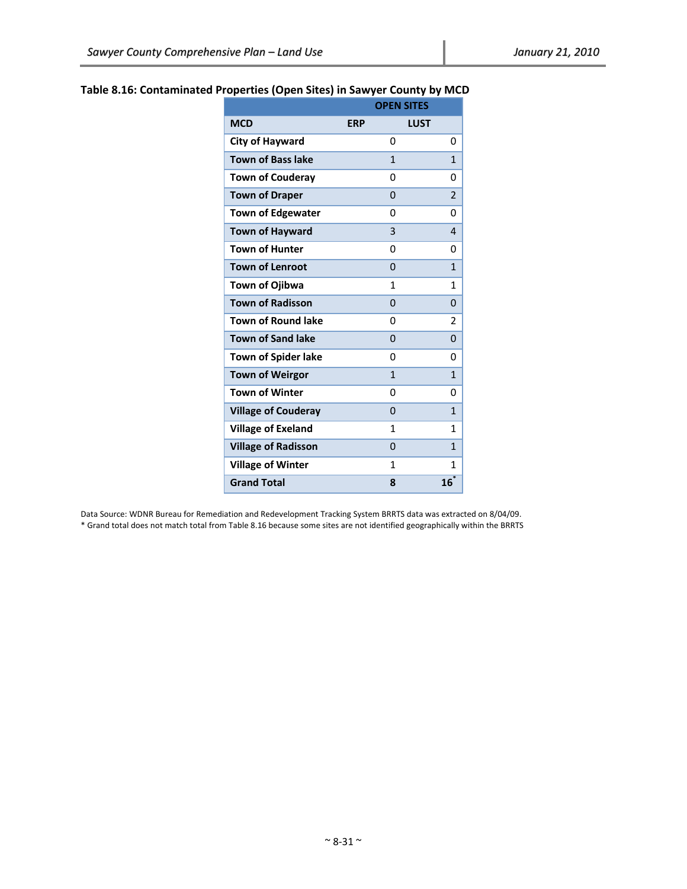|                            |            | <b>OPEN SITES</b> |                |
|----------------------------|------------|-------------------|----------------|
| <b>MCD</b>                 | <b>ERP</b> | <b>LUST</b>       |                |
| City of Hayward            |            | 0                 | 0              |
| <b>Town of Bass lake</b>   |            | 1                 | 1              |
| <b>Town of Couderay</b>    |            | 0                 | 0              |
| <b>Town of Draper</b>      |            | $\overline{0}$    | $\overline{2}$ |
| <b>Town of Edgewater</b>   |            | 0                 | 0              |
| <b>Town of Hayward</b>     |            | 3                 | 4              |
| <b>Town of Hunter</b>      |            | 0                 | 0              |
| <b>Town of Lenroot</b>     |            | $\overline{0}$    | 1              |
| Town of Ojibwa             |            | 1                 | 1              |
| <b>Town of Radisson</b>    |            | 0                 | 0              |
| <b>Town of Round lake</b>  |            | 0                 | 2              |
| <b>Town of Sand lake</b>   |            | 0                 | 0              |
| <b>Town of Spider lake</b> |            | 0                 | ŋ              |
| <b>Town of Weirgor</b>     |            | $\mathbf{1}$      | 1              |
| <b>Town of Winter</b>      |            | 0                 | 0              |
| <b>Village of Couderay</b> |            | 0                 | 1              |
| <b>Village of Exeland</b>  |            | 1                 | 1              |
| <b>Village of Radisson</b> |            | 0                 | 1              |
| <b>Village of Winter</b>   |            | 1                 | 1              |
| <b>Grand Total</b>         |            | 8                 | 16             |

# **Table 8.16: Contaminated Properties (Open Sites) in Sawyer County by MCD**

Data Source: WDNR Bureau for Remediation and Redevelopment Tracking System BRRTS data was extracted on 8/04/09. \* Grand total does not match total from Table 8.16 because some sites are not identified geographically within the BRRTS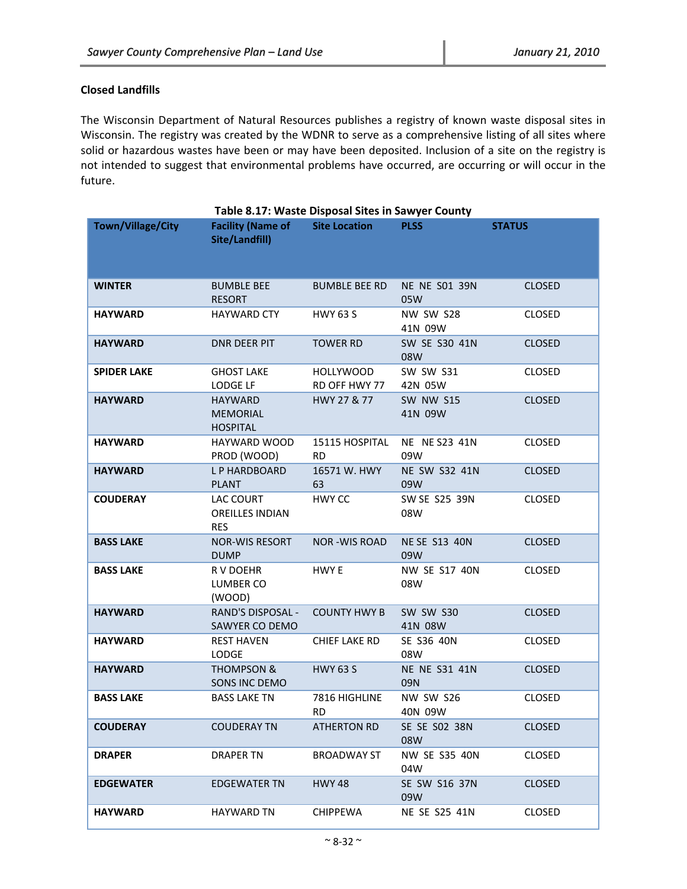# **Closed Landfills**

The Wisconsin Department of Natural Resources publishes a registry of known waste disposal sites in Wisconsin. The registry was created by the WDNR to serve as a comprehensive listing of all sites where solid or hazardous wastes have been or may have been deposited. Inclusion of a site on the registry is not intended to suggest that environmental problems have occurred, are occurring or will occur in the future.

|                    | Table 8.17: Waste Disposal Sites in Sawyer County    |                                   |                             |               |
|--------------------|------------------------------------------------------|-----------------------------------|-----------------------------|---------------|
| Town/Village/City  | <b>Facility (Name of</b><br>Site/Landfill)           | <b>Site Location</b>              | <b>PLSS</b>                 | <b>STATUS</b> |
| <b>WINTER</b>      | <b>BUMBLE BEE</b><br><b>RESORT</b>                   | <b>BUMBLE BEE RD</b>              | <b>NE NE S01 39N</b><br>05W | <b>CLOSED</b> |
| <b>HAYWARD</b>     | <b>HAYWARD CTY</b>                                   | <b>HWY 63 S</b>                   | NW SW S28<br>41N 09W        | <b>CLOSED</b> |
| <b>HAYWARD</b>     | <b>DNR DEER PIT</b>                                  | <b>TOWER RD</b>                   | SW SE S30 41N<br>08W        | <b>CLOSED</b> |
| <b>SPIDER LAKE</b> | <b>GHOST LAKE</b><br>LODGE LF                        | <b>HOLLYWOOD</b><br>RD OFF HWY 77 | <b>SW SW S31</b><br>42N 05W | <b>CLOSED</b> |
| <b>HAYWARD</b>     | <b>HAYWARD</b><br><b>MEMORIAL</b><br><b>HOSPITAL</b> | HWY 27 & 77                       | <b>SW NW S15</b><br>41N 09W | <b>CLOSED</b> |
| <b>HAYWARD</b>     | HAYWARD WOOD<br>PROD (WOOD)                          | 15115 HOSPITAL<br><b>RD</b>       | NE NE S23 41N<br>09W        | <b>CLOSED</b> |
| <b>HAYWARD</b>     | L P HARDBOARD<br><b>PLANT</b>                        | 16571 W. HWY<br>63                | NE SW S32 41N<br>09W        | <b>CLOSED</b> |
| <b>COUDERAY</b>    | LAC COURT<br><b>OREILLES INDIAN</b><br><b>RES</b>    | HWY CC                            | SW SE S25 39N<br>08W        | <b>CLOSED</b> |
| <b>BASS LAKE</b>   | <b>NOR-WIS RESORT</b><br><b>DUMP</b>                 | <b>NOR-WIS ROAD</b>               | <b>NE SE S13 40N</b><br>09W | <b>CLOSED</b> |
| <b>BASS LAKE</b>   | R V DOEHR<br>LUMBER CO<br>(WOOD)                     | HWY E                             | NW SE S17 40N<br>08W        | <b>CLOSED</b> |
| <b>HAYWARD</b>     | <b>RAND'S DISPOSAL -</b><br>SAWYER CO DEMO           | <b>COUNTY HWY B</b>               | <b>SW SW S30</b><br>41N 08W | <b>CLOSED</b> |
| <b>HAYWARD</b>     | <b>REST HAVEN</b><br><b>LODGE</b>                    | <b>CHIEF LAKE RD</b>              | SE S36 40N<br>08W           | <b>CLOSED</b> |
| <b>HAYWARD</b>     | <b>THOMPSON &amp;</b><br>SONS INC DEMO               | <b>HWY 63 S</b>                   | <b>NE NE S31 41N</b><br>09N | <b>CLOSED</b> |
| <b>BASS LAKE</b>   | <b>BASS LAKE TN</b>                                  | 7816 HIGHLINE<br><b>RD</b>        | <b>NW SW S26</b><br>40N 09W | <b>CLOSED</b> |
| <b>COUDERAY</b>    | <b>COUDERAY TN</b>                                   | <b>ATHERTON RD</b>                | SE SE S02 38N<br>08W        | <b>CLOSED</b> |
| <b>DRAPER</b>      | <b>DRAPER TN</b>                                     | BROADWAY ST                       | <b>NW SE S35 40N</b><br>04W | <b>CLOSED</b> |
| <b>EDGEWATER</b>   | <b>EDGEWATER TN</b>                                  | <b>HWY 48</b>                     | SE SW S16 37N<br>09W        | <b>CLOSED</b> |
| <b>HAYWARD</b>     | <b>HAYWARD TN</b>                                    | <b>CHIPPEWA</b>                   | NE SE S25 41N               | CLOSED        |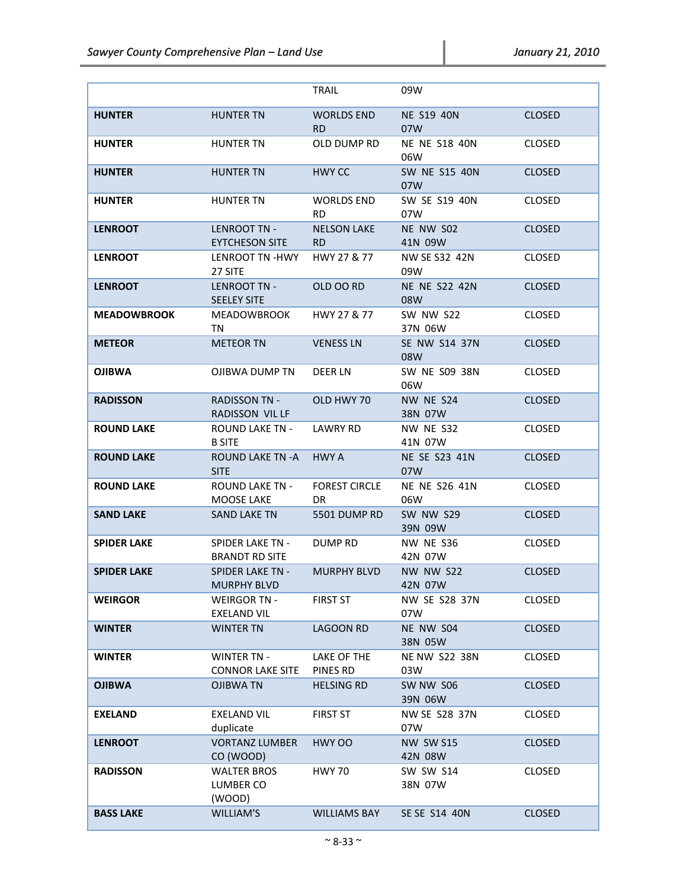|                    |                                               | TRAIL                             | 09W                         |               |
|--------------------|-----------------------------------------------|-----------------------------------|-----------------------------|---------------|
| <b>HUNTER</b>      | <b>HUNTER TN</b>                              | <b>WORLDS END</b><br>RD.          | <b>NE S19 40N</b><br>07W    | <b>CLOSED</b> |
| <b>HUNTER</b>      | <b>HUNTER TN</b>                              | OLD DUMP RD                       | <b>NE NE S18 40N</b><br>06W | <b>CLOSED</b> |
| <b>HUNTER</b>      | <b>HUNTER TN</b>                              | HWY CC                            | SW NE S15 40N<br>07W        | <b>CLOSED</b> |
| <b>HUNTER</b>      | <b>HUNTER TN</b>                              | <b>WORLDS END</b><br>RD.          | SW SE S19 40N<br>07W        | <b>CLOSED</b> |
| <b>LENROOT</b>     | LENROOT TN -<br><b>EYTCHESON SITE</b>         | <b>NELSON LAKE</b><br><b>RD</b>   | NE NW S02<br>41N 09W        | <b>CLOSED</b> |
| <b>LENROOT</b>     | LENROOT TN -HWY<br>27 SITE                    | HWY 27 & 77                       | NW SE S32 42N<br>09W        | <b>CLOSED</b> |
| <b>LENROOT</b>     | LENROOT TN -<br><b>SEELEY SITE</b>            | OLD OO RD                         | <b>NE NE S22 42N</b><br>08W | <b>CLOSED</b> |
| <b>MEADOWBROOK</b> | MEADOWBROOK<br>TN                             | HWY 27 & 77                       | SW NW S22<br>37N 06W        | <b>CLOSED</b> |
| <b>METEOR</b>      | <b>METEOR TN</b>                              | <b>VENESS LN</b>                  | SE NW S14 37N<br>08W        | <b>CLOSED</b> |
| <b>OJIBWA</b>      | OJIBWA DUMP TN                                | DEER LN                           | SW NE S09 38N<br>06W        | <b>CLOSED</b> |
| <b>RADISSON</b>    | <b>RADISSON TN -</b><br>RADISSON VIL LF       | OLD HWY 70                        | NW NE S24<br>38N 07W        | <b>CLOSED</b> |
| <b>ROUND LAKE</b>  | ROUND LAKE TN -<br><b>B SITE</b>              | <b>LAWRY RD</b>                   | NW NE S32<br>41N 07W        | <b>CLOSED</b> |
| <b>ROUND LAKE</b>  | ROUND LAKE TN -A<br><b>SITE</b>               | <b>HWY A</b>                      | NE SE S23 41N<br>07W        | <b>CLOSED</b> |
| <b>ROUND LAKE</b>  | <b>ROUND LAKE TN -</b><br>MOOSE LAKE          | <b>FOREST CIRCLE</b><br><b>DR</b> | NE NE S26 41N<br>06W        | <b>CLOSED</b> |
| <b>SAND LAKE</b>   | SAND LAKE TN                                  | 5501 DUMP RD                      | <b>SW NW S29</b><br>39N 09W | <b>CLOSED</b> |
| <b>SPIDER LAKE</b> | SPIDER LAKE TN -<br><b>BRANDT RD SITE</b>     | DUMP RD                           | <b>NW NE S36</b><br>42N 07W | <b>CLOSED</b> |
| <b>SPIDER LAKE</b> | <b>SPIDER LAKE TN -</b><br><b>MURPHY BLVD</b> | MURPHY BLVD                       | <b>NW NW S22</b><br>42N 07W | <b>CLOSED</b> |
| <b>WEIRGOR</b>     | <b>WEIRGOR TN -</b><br><b>EXELAND VIL</b>     | <b>FIRST ST</b>                   | <b>NW SE S28 37N</b><br>07W | <b>CLOSED</b> |
| <b>WINTER</b>      | <b>WINTER TN</b>                              | <b>LAGOON RD</b>                  | NE NW S04<br>38N 05W        | <b>CLOSED</b> |
| <b>WINTER</b>      | <b>WINTER TN -</b><br><b>CONNOR LAKE SITE</b> | LAKE OF THE<br>PINES RD           | <b>NE NW S22 38N</b><br>03W | <b>CLOSED</b> |
| <b>OJIBWA</b>      | <b>OJIBWA TN</b>                              | <b>HELSING RD</b>                 | SW NW S06<br>39N 06W        | <b>CLOSED</b> |
| <b>EXELAND</b>     | <b>EXELAND VIL</b><br>duplicate               | <b>FIRST ST</b>                   | <b>NW SE S28 37N</b><br>07W | <b>CLOSED</b> |
| <b>LENROOT</b>     | <b>VORTANZ LUMBER</b><br>CO (WOOD)            | HWY OO                            | <b>NW SW S15</b><br>42N 08W | <b>CLOSED</b> |
| <b>RADISSON</b>    | <b>WALTER BROS</b><br>LUMBER CO<br>(WOOD)     | <b>HWY 70</b>                     | <b>SW SW S14</b><br>38N 07W | <b>CLOSED</b> |
| <b>BASS LAKE</b>   | WILLIAM'S                                     | <b>WILLIAMS BAY</b>               | SE SE S14 40N               | <b>CLOSED</b> |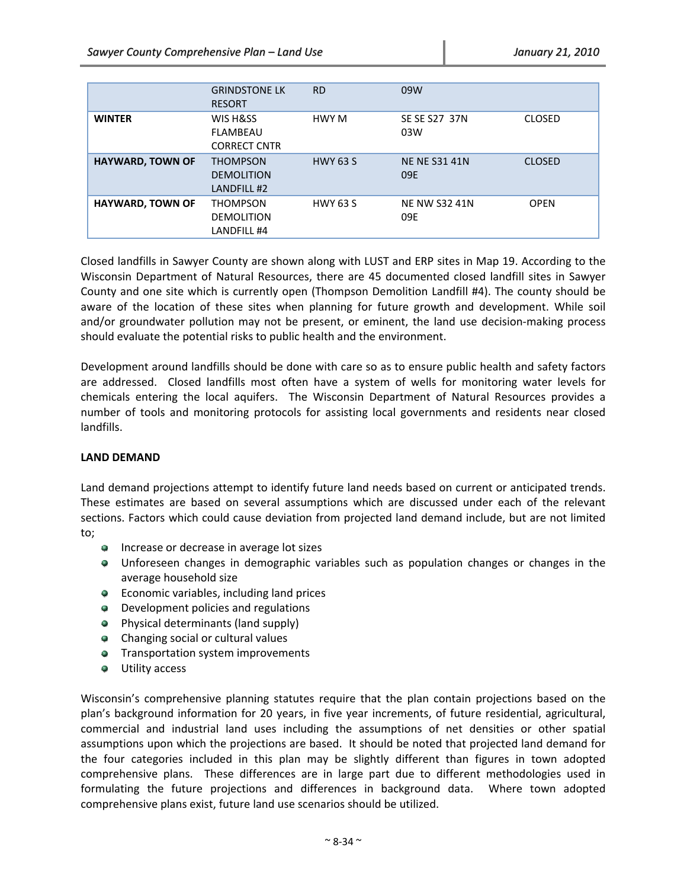|                         | <b>GRINDSTONE LK</b><br><b>RESORT</b>               | <b>RD</b>       | 09W                         |               |
|-------------------------|-----------------------------------------------------|-----------------|-----------------------------|---------------|
| <b>WINTER</b>           | WIS H&SS<br>FLAMBEAU<br><b>CORRECT CNTR</b>         | HWY M           | SE SE S27 37N<br>03W        | <b>CLOSED</b> |
| <b>HAYWARD, TOWN OF</b> | <b>THOMPSON</b><br><b>DEMOLITION</b><br>LANDFILL #2 | <b>HWY 63 S</b> | <b>NE NE S31 41N</b><br>09E | <b>CLOSED</b> |
| <b>HAYWARD, TOWN OF</b> | <b>THOMPSON</b><br><b>DEMOLITION</b><br>LANDFILL #4 | <b>HWY 63 S</b> | <b>NE NW S32 41N</b><br>09E | <b>OPEN</b>   |

Closed landfills in Sawyer County are shown along with LUST and ERP sites in Map 19. According to the Wisconsin Department of Natural Resources, there are 45 documented closed landfill sites in Sawyer County and one site which is currently open (Thompson Demolition Landfill #4). The county should be aware of the location of these sites when planning for future growth and development. While soil and/or groundwater pollution may not be present, or eminent, the land use decision-making process should evaluate the potential risks to public health and the environment.

Development around landfills should be done with care so as to ensure public health and safety factors are addressed. Closed landfills most often have a system of wells for monitoring water levels for chemicals entering the local aquifers. The Wisconsin Department of Natural Resources provides a number of tools and monitoring protocols for assisting local governments and residents near closed landfills.

# **LAND DEMAND**

Land demand projections attempt to identify future land needs based on current or anticipated trends. These estimates are based on several assumptions which are discussed under each of the relevant sections. Factors which could cause deviation from projected land demand include, but are not limited to;

- **Increase or decrease in average lot sizes**
- Unforeseen changes in demographic variables such as population changes or changes in the average household size
- **•** Economic variables, including land prices
- **•** Development policies and regulations
- **•** Physical determinants (land supply)
- Changing social or cultural values
- **Transportation system improvements**
- $\bullet$  Utility access

Wisconsin's comprehensive planning statutes require that the plan contain projections based on the plan's background information for 20 years, in five year increments, of future residential, agricultural, commercial and industrial land uses including the assumptions of net densities or other spatial assumptions upon which the projections are based. It should be noted that projected land demand for the four categories included in this plan may be slightly different than figures in town adopted comprehensive plans. These differences are in large part due to different methodologies used in formulating the future projections and differences in background data. Where town adopted comprehensive plans exist, future land use scenarios should be utilized.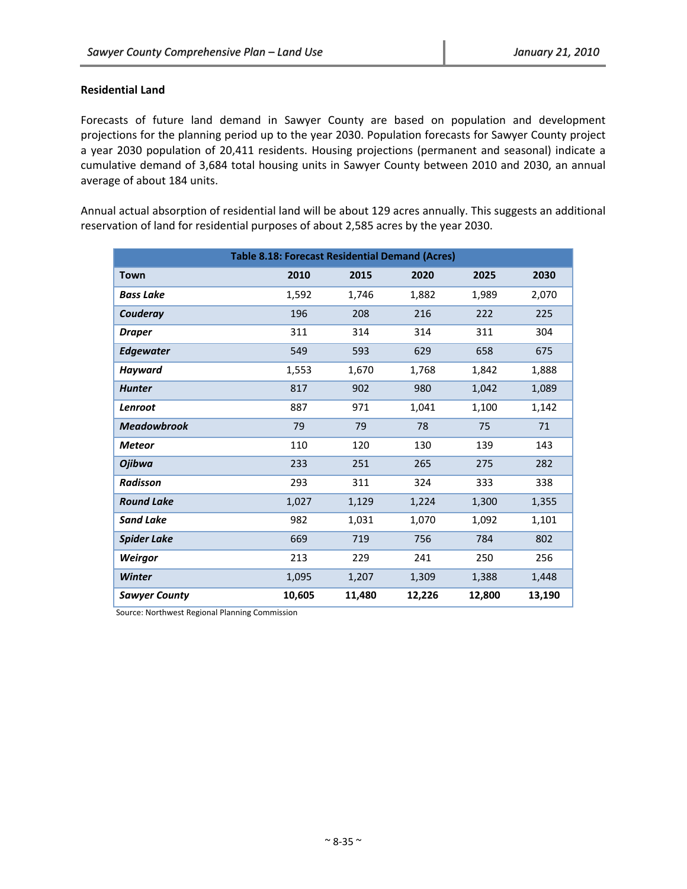# **Residential Land**

Forecasts of future land demand in Sawyer County are based on population and development projections for the planning period up to the year 2030. Population forecasts for Sawyer County project a year 2030 population of 20,411 residents. Housing projections (permanent and seasonal) indicate a cumulative demand of 3,684 total housing units in Sawyer County between 2010 and 2030, an annual average of about 184 units.

Annual actual absorption of residential land will be about 129 acres annually. This suggests an additional reservation of land for residential purposes of about 2,585 acres by the year 2030.

|                      | <b>Table 8.18: Forecast Residential Demand (Acres)</b> |        |        |        |        |  |  |  |
|----------------------|--------------------------------------------------------|--------|--------|--------|--------|--|--|--|
| Town                 | 2010                                                   | 2015   | 2020   | 2025   | 2030   |  |  |  |
| <b>Bass Lake</b>     | 1,592                                                  | 1,746  | 1,882  | 1,989  | 2,070  |  |  |  |
| Couderay             | 196                                                    | 208    | 216    | 222    | 225    |  |  |  |
| <b>Draper</b>        | 311                                                    | 314    | 314    | 311    | 304    |  |  |  |
| <b>Edgewater</b>     | 549                                                    | 593    | 629    | 658    | 675    |  |  |  |
| Hayward              | 1,553                                                  | 1,670  | 1,768  | 1,842  | 1,888  |  |  |  |
| <b>Hunter</b>        | 817                                                    | 902    | 980    | 1,042  | 1,089  |  |  |  |
| Lenroot              | 887                                                    | 971    | 1,041  | 1,100  | 1,142  |  |  |  |
| <b>Meadowbrook</b>   | 79                                                     | 79     | 78     | 75     | 71     |  |  |  |
| <b>Meteor</b>        | 110                                                    | 120    | 130    | 139    | 143    |  |  |  |
| Ojibwa               | 233                                                    | 251    | 265    | 275    | 282    |  |  |  |
| <b>Radisson</b>      | 293                                                    | 311    | 324    | 333    | 338    |  |  |  |
| <b>Round Lake</b>    | 1,027                                                  | 1,129  | 1,224  | 1,300  | 1,355  |  |  |  |
| <b>Sand Lake</b>     | 982                                                    | 1,031  | 1,070  | 1,092  | 1,101  |  |  |  |
| <b>Spider Lake</b>   | 669                                                    | 719    | 756    | 784    | 802    |  |  |  |
| Weirgor              | 213                                                    | 229    | 241    | 250    | 256    |  |  |  |
| <b>Winter</b>        | 1,095                                                  | 1,207  | 1,309  | 1,388  | 1,448  |  |  |  |
| <b>Sawyer County</b> | 10,605                                                 | 11,480 | 12,226 | 12,800 | 13,190 |  |  |  |

Source: Northwest Regional Planning Commission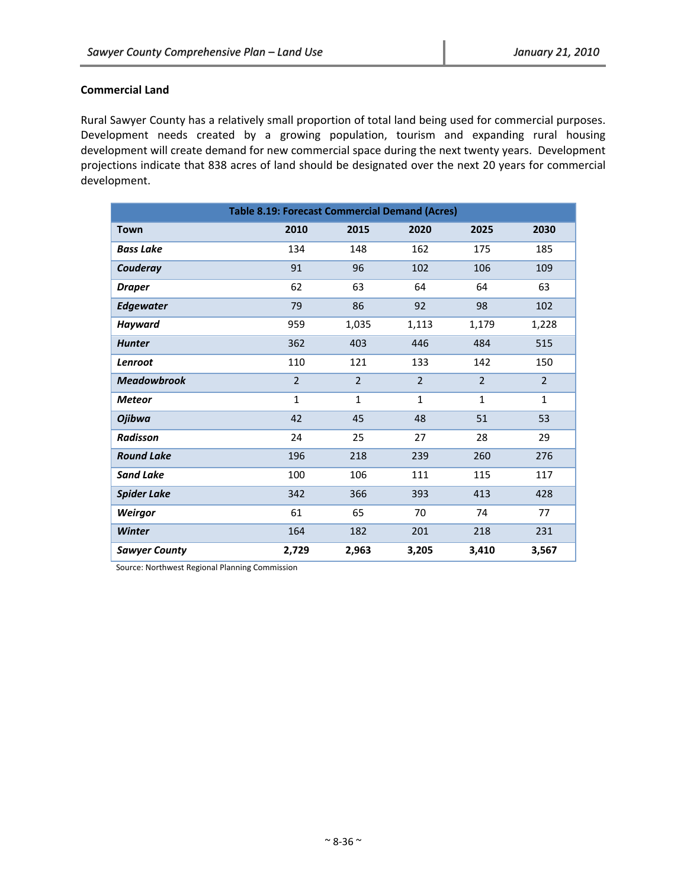# **Commercial Land**

Rural Sawyer County has a relatively small proportion of total land being used for commercial purposes. Development needs created by a growing population, tourism and expanding rural housing development will create demand for new commercial space during the next twenty years. Development projections indicate that 838 acres of land should be designated over the next 20 years for commercial development.

|                      | <b>Table 8.19: Forecast Commercial Demand (Acres)</b> |                |                |                |                |  |  |  |
|----------------------|-------------------------------------------------------|----------------|----------------|----------------|----------------|--|--|--|
| <b>Town</b>          | 2010                                                  | 2015           | 2020           | 2025           | 2030           |  |  |  |
| <b>Bass Lake</b>     | 134                                                   | 148            | 162            | 175            | 185            |  |  |  |
| Couderay             | 91                                                    | 96             | 102            | 106            | 109            |  |  |  |
| <b>Draper</b>        | 62                                                    | 63             | 64             | 64             | 63             |  |  |  |
| <b>Edgewater</b>     | 79                                                    | 86             | 92             | 98             | 102            |  |  |  |
| <b>Hayward</b>       | 959                                                   | 1,035          | 1,113          | 1,179          | 1,228          |  |  |  |
| <b>Hunter</b>        | 362                                                   | 403            | 446            | 484            | 515            |  |  |  |
| Lenroot              | 110                                                   | 121            | 133            | 142            | 150            |  |  |  |
| <b>Meadowbrook</b>   | $\overline{2}$                                        | $\overline{2}$ | $\overline{2}$ | $\overline{2}$ | $\overline{2}$ |  |  |  |
| <b>Meteor</b>        | $\mathbf{1}$                                          | $\mathbf{1}$   | $\mathbf{1}$   | $\mathbf{1}$   | $\mathbf{1}$   |  |  |  |
| <b>Ojibwa</b>        | 42                                                    | 45             | 48             | 51             | 53             |  |  |  |
| <b>Radisson</b>      | 24                                                    | 25             | 27             | 28             | 29             |  |  |  |
| <b>Round Lake</b>    | 196                                                   | 218            | 239            | 260            | 276            |  |  |  |
| <b>Sand Lake</b>     | 100                                                   | 106            | 111            | 115            | 117            |  |  |  |
| <b>Spider Lake</b>   | 342                                                   | 366            | 393            | 413            | 428            |  |  |  |
| Weirgor              | 61                                                    | 65             | 70             | 74             | 77             |  |  |  |
| <b>Winter</b>        | 164                                                   | 182            | 201            | 218            | 231            |  |  |  |
| <b>Sawyer County</b> | 2,729                                                 | 2,963          | 3,205          | 3,410          | 3,567          |  |  |  |

Source: Northwest Regional Planning Commission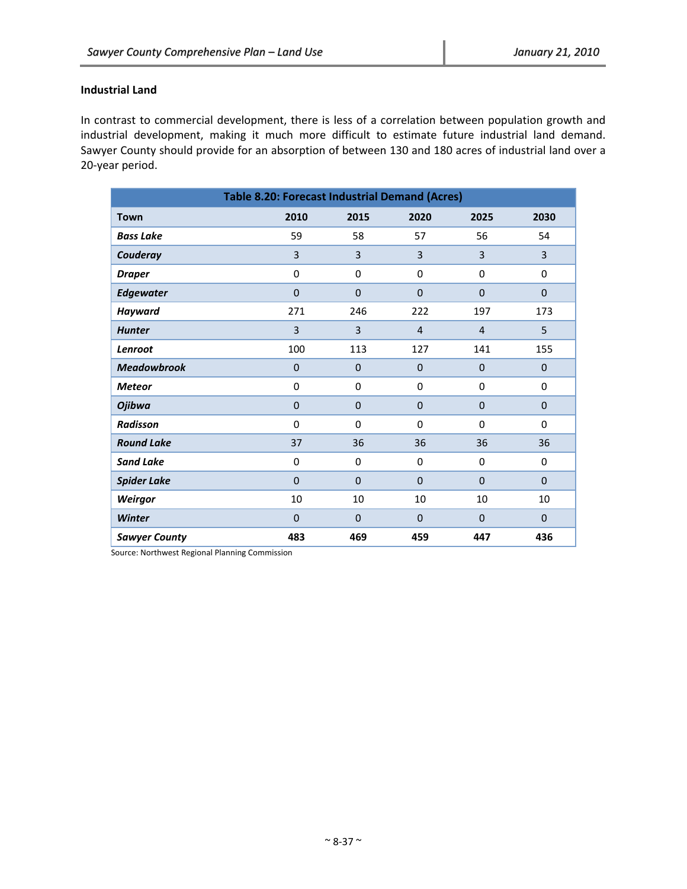# **Industrial Land**

In contrast to commercial development, there is less of a correlation between population growth and industrial development, making it much more difficult to estimate future industrial land demand. Sawyer County should provide for an absorption of between 130 and 180 acres of industrial land over a 20‐year period.

| <b>Table 8.20: Forecast Industrial Demand (Acres)</b> |                |                |                |                |                |  |  |  |
|-------------------------------------------------------|----------------|----------------|----------------|----------------|----------------|--|--|--|
| <b>Town</b>                                           | 2010           | 2015           | 2020           | 2025           | 2030           |  |  |  |
| <b>Bass Lake</b>                                      | 59             | 58             | 57             | 56             | 54             |  |  |  |
| Couderay                                              | $\overline{3}$ | $\overline{3}$ | 3              | 3              | $\overline{3}$ |  |  |  |
| <b>Draper</b>                                         | $\pmb{0}$      | 0              | $\mathbf 0$    | $\pmb{0}$      | $\mathbf 0$    |  |  |  |
| <b>Edgewater</b>                                      | $\mathbf{0}$   | $\mathbf{0}$   | $\mathbf{0}$   | $\mathbf{0}$   | $\mathbf{0}$   |  |  |  |
| <b>Hayward</b>                                        | 271            | 246            | 222            | 197            | 173            |  |  |  |
| <b>Hunter</b>                                         | 3              | 3              | $\overline{4}$ | $\overline{4}$ | 5              |  |  |  |
| Lenroot                                               | 100            | 113            | 127            | 141            | 155            |  |  |  |
| <b>Meadowbrook</b>                                    | $\mathbf 0$    | $\mathbf{0}$   | $\mathbf{0}$   | $\mathbf{0}$   | $\mathbf{0}$   |  |  |  |
| <b>Meteor</b>                                         | $\mathbf 0$    | $\mathbf 0$    | $\mathbf 0$    | $\mathbf 0$    | $\mathbf 0$    |  |  |  |
| <b>Ojibwa</b>                                         | $\pmb{0}$      | $\mathbf{0}$   | $\mathbf{0}$   | $\mathbf{0}$   | $\mathbf{0}$   |  |  |  |
| <b>Radisson</b>                                       | $\mathbf 0$    | $\mathbf 0$    | $\mathbf 0$    | $\mathbf 0$    | $\mathbf 0$    |  |  |  |
| <b>Round Lake</b>                                     | 37             | 36             | 36             | 36             | 36             |  |  |  |
| <b>Sand Lake</b>                                      | $\mathbf 0$    | $\mathbf 0$    | $\mathbf 0$    | $\mathbf 0$    | $\mathbf 0$    |  |  |  |
| <b>Spider Lake</b>                                    | $\mathbf{0}$   | $\mathbf{0}$   | $\mathbf{0}$   | $\mathbf{0}$   | $\mathbf{0}$   |  |  |  |
| Weirgor                                               | 10             | 10             | 10             | 10             | 10             |  |  |  |
| Winter                                                | $\mathbf 0$    | $\mathbf 0$    | $\mathbf 0$    | $\mathbf 0$    | 0              |  |  |  |
| <b>Sawyer County</b>                                  | 483            | 469            | 459            | 447            | 436            |  |  |  |

Source: Northwest Regional Planning Commission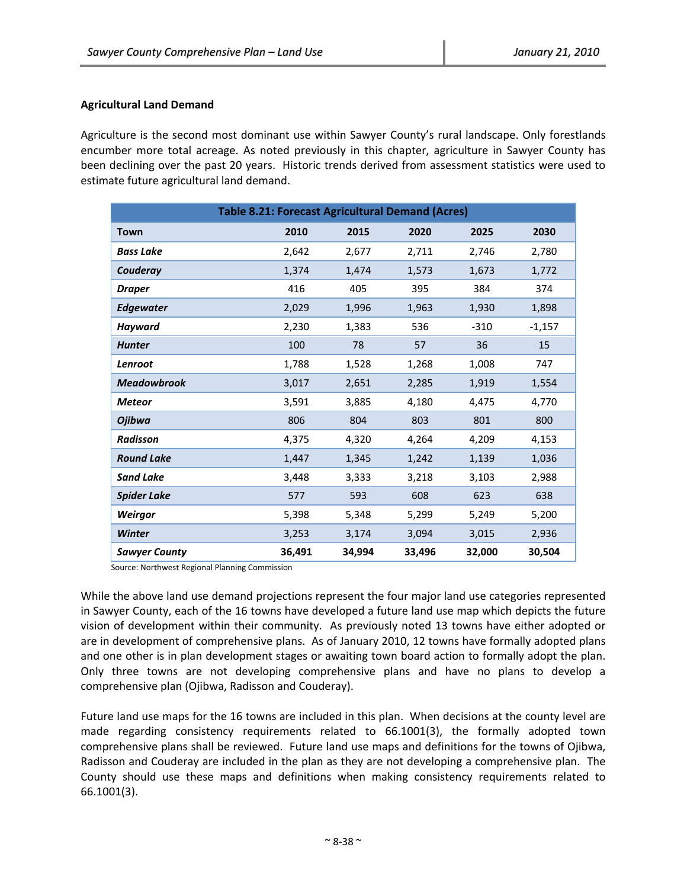# **Agricultural Land Demand**

Agriculture is the second most dominant use within Sawyer County's rural landscape. Only forestlands encumber more total acreage. As noted previously in this chapter, agriculture in Sawyer County has been declining over the past 20 years. Historic trends derived from assessment statistics were used to estimate future agricultural land demand.

| <b>Table 8.21: Forecast Agricultural Demand (Acres)</b> |        |        |        |        |          |  |  |  |
|---------------------------------------------------------|--------|--------|--------|--------|----------|--|--|--|
| <b>Town</b>                                             | 2010   | 2015   | 2020   | 2025   | 2030     |  |  |  |
| <b>Bass Lake</b>                                        | 2,642  | 2,677  | 2,711  | 2,746  | 2,780    |  |  |  |
| Couderay                                                | 1,374  | 1,474  | 1,573  | 1,673  | 1,772    |  |  |  |
| <b>Draper</b>                                           | 416    | 405    | 395    | 384    | 374      |  |  |  |
| <b>Edgewater</b>                                        | 2,029  | 1,996  | 1,963  | 1,930  | 1,898    |  |  |  |
| <b>Hayward</b>                                          | 2,230  | 1,383  | 536    | $-310$ | $-1,157$ |  |  |  |
| <b>Hunter</b>                                           | 100    | 78     | 57     | 36     | 15       |  |  |  |
| Lenroot                                                 | 1,788  | 1,528  | 1,268  | 1,008  | 747      |  |  |  |
| <b>Meadowbrook</b>                                      | 3,017  | 2,651  | 2,285  | 1,919  | 1,554    |  |  |  |
| <b>Meteor</b>                                           | 3,591  | 3,885  | 4,180  | 4,475  | 4,770    |  |  |  |
| <b>Ojibwa</b>                                           | 806    | 804    | 803    | 801    | 800      |  |  |  |
| <b>Radisson</b>                                         | 4,375  | 4,320  | 4,264  | 4,209  | 4,153    |  |  |  |
| <b>Round Lake</b>                                       | 1,447  | 1,345  | 1,242  | 1,139  | 1,036    |  |  |  |
| <b>Sand Lake</b>                                        | 3,448  | 3,333  | 3,218  | 3,103  | 2,988    |  |  |  |
| <b>Spider Lake</b>                                      | 577    | 593    | 608    | 623    | 638      |  |  |  |
| Weirgor                                                 | 5,398  | 5,348  | 5,299  | 5,249  | 5,200    |  |  |  |
| Winter                                                  | 3,253  | 3,174  | 3,094  | 3,015  | 2,936    |  |  |  |
| <b>Sawyer County</b>                                    | 36,491 | 34,994 | 33,496 | 32,000 | 30,504   |  |  |  |

Source: Northwest Regional Planning Commission

While the above land use demand projections represent the four major land use categories represented in Sawyer County, each of the 16 towns have developed a future land use map which depicts the future vision of development within their community. As previously noted 13 towns have either adopted or are in development of comprehensive plans. As of January 2010, 12 towns have formally adopted plans and one other is in plan development stages or awaiting town board action to formally adopt the plan. Only three towns are not developing comprehensive plans and have no plans to develop a comprehensive plan (Ojibwa, Radisson and Couderay).

Future land use maps for the 16 towns are included in this plan. When decisions at the county level are made regarding consistency requirements related to 66.1001(3), the formally adopted town comprehensive plans shall be reviewed. Future land use maps and definitions for the towns of Ojibwa, Radisson and Couderay are included in the plan as they are not developing a comprehensive plan. The County should use these maps and definitions when making consistency requirements related to 66.1001(3).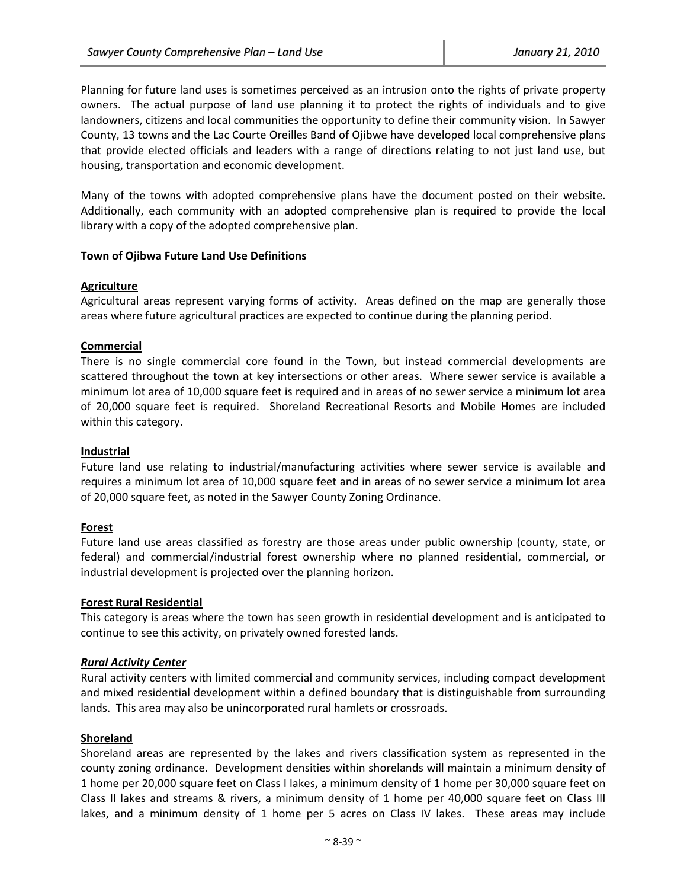Planning for future land uses is sometimes perceived as an intrusion onto the rights of private property owners. The actual purpose of land use planning it to protect the rights of individuals and to give landowners, citizens and local communities the opportunity to define their community vision. In Sawyer County, 13 towns and the Lac Courte Oreilles Band of Ojibwe have developed local comprehensive plans that provide elected officials and leaders with a range of directions relating to not just land use, but housing, transportation and economic development.

Many of the towns with adopted comprehensive plans have the document posted on their website. Additionally, each community with an adopted comprehensive plan is required to provide the local library with a copy of the adopted comprehensive plan.

# **Town of Ojibwa Future Land Use Definitions**

#### **Agriculture**

Agricultural areas represent varying forms of activity. Areas defined on the map are generally those areas where future agricultural practices are expected to continue during the planning period.

#### **Commercial**

There is no single commercial core found in the Town, but instead commercial developments are scattered throughout the town at key intersections or other areas. Where sewer service is available a minimum lot area of 10,000 square feet is required and in areas of no sewer service a minimum lot area of 20,000 square feet is required. Shoreland Recreational Resorts and Mobile Homes are included within this category.

#### **Industrial**

Future land use relating to industrial/manufacturing activities where sewer service is available and requires a minimum lot area of 10,000 square feet and in areas of no sewer service a minimum lot area of 20,000 square feet, as noted in the Sawyer County Zoning Ordinance.

#### **Forest**

Future land use areas classified as forestry are those areas under public ownership (county, state, or federal) and commercial/industrial forest ownership where no planned residential, commercial, or industrial development is projected over the planning horizon.

#### **Forest Rural Residential**

This category is areas where the town has seen growth in residential development and is anticipated to continue to see this activity, on privately owned forested lands.

#### *Rural Activity Center*

Rural activity centers with limited commercial and community services, including compact development and mixed residential development within a defined boundary that is distinguishable from surrounding lands. This area may also be unincorporated rural hamlets or crossroads.

#### **Shoreland**

Shoreland areas are represented by the lakes and rivers classification system as represented in the county zoning ordinance. Development densities within shorelands will maintain a minimum density of 1 home per 20,000 square feet on Class I lakes, a minimum density of 1 home per 30,000 square feet on Class II lakes and streams & rivers, a minimum density of 1 home per 40,000 square feet on Class III lakes, and a minimum density of 1 home per 5 acres on Class IV lakes. These areas may include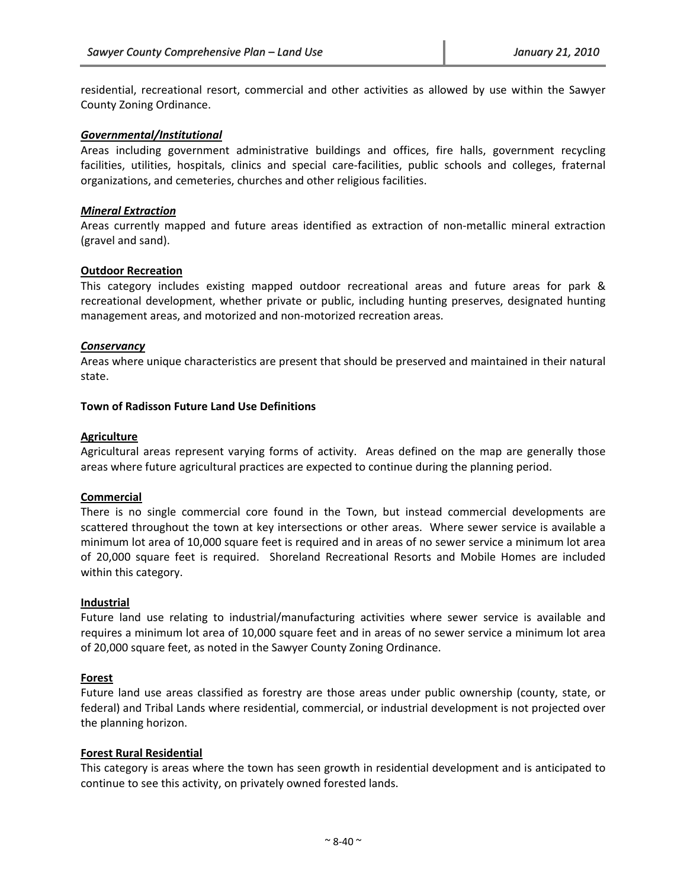residential, recreational resort, commercial and other activities as allowed by use within the Sawyer County Zoning Ordinance.

#### *Governmental/Institutional*

Areas including government administrative buildings and offices, fire halls, government recycling facilities, utilities, hospitals, clinics and special care-facilities, public schools and colleges, fraternal organizations, and cemeteries, churches and other religious facilities.

#### *Mineral Extraction*

Areas currently mapped and future areas identified as extraction of non‐metallic mineral extraction (gravel and sand).

#### **Outdoor Recreation**

This category includes existing mapped outdoor recreational areas and future areas for park & recreational development, whether private or public, including hunting preserves, designated hunting management areas, and motorized and non‐motorized recreation areas.

#### *Conservancy*

Areas where unique characteristics are present that should be preserved and maintained in their natural state.

#### **Town of Radisson Future Land Use Definitions**

#### **Agriculture**

Agricultural areas represent varying forms of activity. Areas defined on the map are generally those areas where future agricultural practices are expected to continue during the planning period.

#### **Commercial**

There is no single commercial core found in the Town, but instead commercial developments are scattered throughout the town at key intersections or other areas. Where sewer service is available a minimum lot area of 10,000 square feet is required and in areas of no sewer service a minimum lot area of 20,000 square feet is required. Shoreland Recreational Resorts and Mobile Homes are included within this category.

#### **Industrial**

Future land use relating to industrial/manufacturing activities where sewer service is available and requires a minimum lot area of 10,000 square feet and in areas of no sewer service a minimum lot area of 20,000 square feet, as noted in the Sawyer County Zoning Ordinance.

#### **Forest**

Future land use areas classified as forestry are those areas under public ownership (county, state, or federal) and Tribal Lands where residential, commercial, or industrial development is not projected over the planning horizon.

# **Forest Rural Residential**

This category is areas where the town has seen growth in residential development and is anticipated to continue to see this activity, on privately owned forested lands.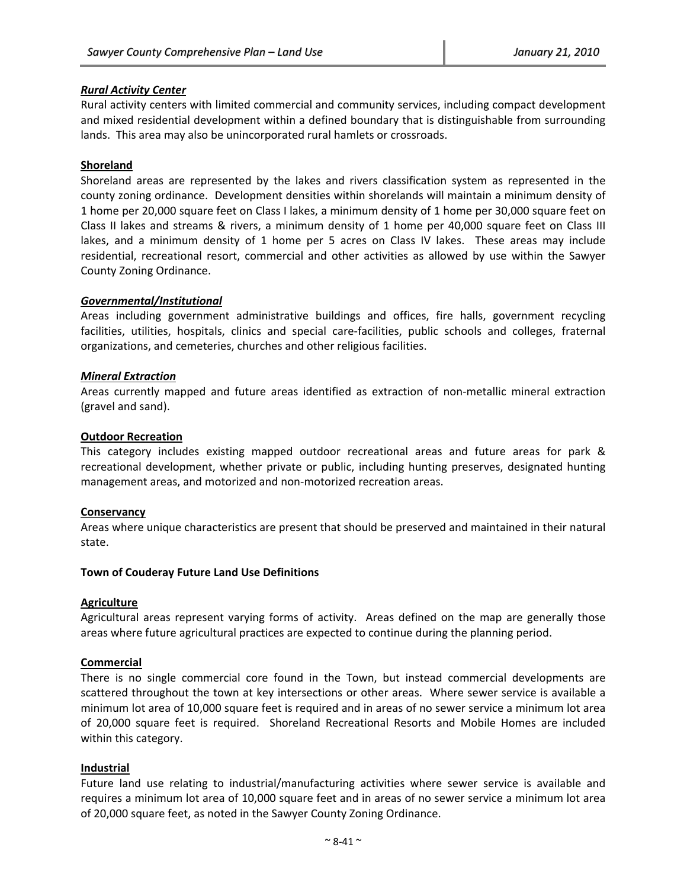# *Rural Activity Center*

Rural activity centers with limited commercial and community services, including compact development and mixed residential development within a defined boundary that is distinguishable from surrounding lands. This area may also be unincorporated rural hamlets or crossroads.

# **Shoreland**

Shoreland areas are represented by the lakes and rivers classification system as represented in the county zoning ordinance. Development densities within shorelands will maintain a minimum density of 1 home per 20,000 square feet on Class I lakes, a minimum density of 1 home per 30,000 square feet on Class II lakes and streams & rivers, a minimum density of 1 home per 40,000 square feet on Class III lakes, and a minimum density of 1 home per 5 acres on Class IV lakes. These areas may include residential, recreational resort, commercial and other activities as allowed by use within the Sawyer County Zoning Ordinance.

# *Governmental/Institutional*

Areas including government administrative buildings and offices, fire halls, government recycling facilities, utilities, hospitals, clinics and special care‐facilities, public schools and colleges, fraternal organizations, and cemeteries, churches and other religious facilities.

# *Mineral Extraction*

Areas currently mapped and future areas identified as extraction of non‐metallic mineral extraction (gravel and sand).

#### **Outdoor Recreation**

This category includes existing mapped outdoor recreational areas and future areas for park & recreational development, whether private or public, including hunting preserves, designated hunting management areas, and motorized and non‐motorized recreation areas.

# **Conservancy**

Areas where unique characteristics are present that should be preserved and maintained in their natural state.

#### **Town of Couderay Future Land Use Definitions**

#### **Agriculture**

Agricultural areas represent varying forms of activity. Areas defined on the map are generally those areas where future agricultural practices are expected to continue during the planning period.

# **Commercial**

There is no single commercial core found in the Town, but instead commercial developments are scattered throughout the town at key intersections or other areas. Where sewer service is available a minimum lot area of 10,000 square feet is required and in areas of no sewer service a minimum lot area of 20,000 square feet is required. Shoreland Recreational Resorts and Mobile Homes are included within this category.

# **Industrial**

Future land use relating to industrial/manufacturing activities where sewer service is available and requires a minimum lot area of 10,000 square feet and in areas of no sewer service a minimum lot area of 20,000 square feet, as noted in the Sawyer County Zoning Ordinance.